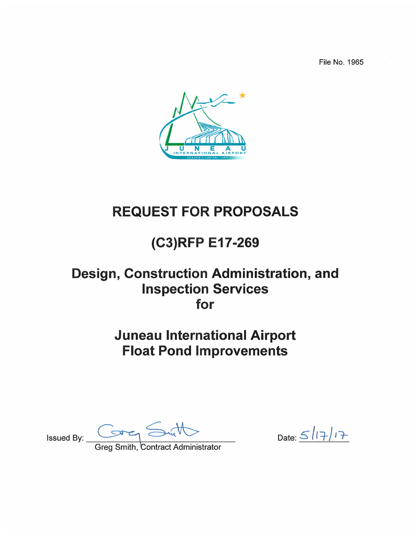File No. 1965



# **REQUEST FOR PROPOSALS**

# (C3)RFP E17-269

## Design, Construction Administration, and **Inspection Services** for

# **Juneau International Airport Float Pond Improvements**

Issued By:  $\overline{\phantom{a}}$ 

Date:  $\frac{5}{17}$ 

**Greg Smith, Contract Administrator**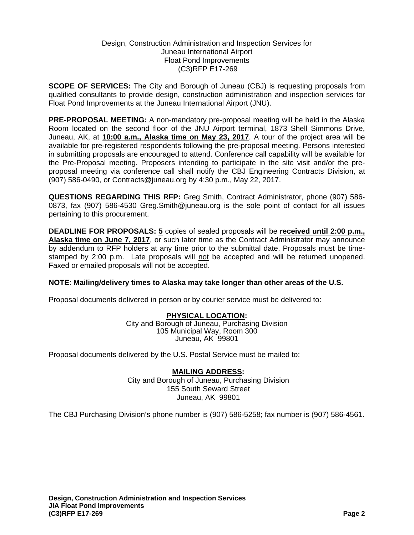#### Design, Construction Administration and Inspection Services for Juneau International Airport Float Pond Improvements (C3)RFP E17-269

**SCOPE OF SERVICES:** The City and Borough of Juneau (CBJ) is requesting proposals from qualified consultants to provide design, construction administration and inspection services for Float Pond Improvements at the Juneau International Airport (JNU).

**PRE-PROPOSAL MEETING:** A non-mandatory pre-proposal meeting will be held in the Alaska Room located on the second floor of the JNU Airport terminal, 1873 Shell Simmons Drive, Juneau, AK, at **10:00 a.m., Alaska time on May 23, 2017**. A tour of the project area will be available for pre-registered respondents following the pre-proposal meeting. Persons interested in submitting proposals are encouraged to attend. Conference call capability will be available for the Pre-Proposal meeting. Proposers intending to participate in the site visit and/or the preproposal meeting via conference call shall notify the CBJ Engineering Contracts Division, at (907) 586-0490, or Contracts@juneau.org by 4:30 p.m., May 22, 2017.

**QUESTIONS REGARDING THIS RFP:** Greg Smith, Contract Administrator, phone (907) 586- 0873, fax (907) 586-4530 Greg.Smith@juneau.org is the sole point of contact for all issues pertaining to this procurement.

**DEADLINE FOR PROPOSALS: 5** copies of sealed proposals will be **received until 2:00 p.m., Alaska time on June 7, 2017**, or such later time as the Contract Administrator may announce by addendum to RFP holders at any time prior to the submittal date. Proposals must be timestamped by 2:00 p.m. Late proposals will not be accepted and will be returned unopened. Faxed or emailed proposals will not be accepted.

#### **NOTE**: **Mailing/delivery times to Alaska may take longer than other areas of the U.S.**

Proposal documents delivered in person or by courier service must be delivered to:

#### **PHYSICAL LOCATION:**

City and Borough of Juneau, Purchasing Division 105 Municipal Way, Room 300 Juneau, AK 99801

Proposal documents delivered by the U.S. Postal Service must be mailed to:

#### **MAILING ADDRESS:**

City and Borough of Juneau, Purchasing Division 155 South Seward Street Juneau, AK 99801

The CBJ Purchasing Division's phone number is (907) 586-5258; fax number is (907) 586-4561.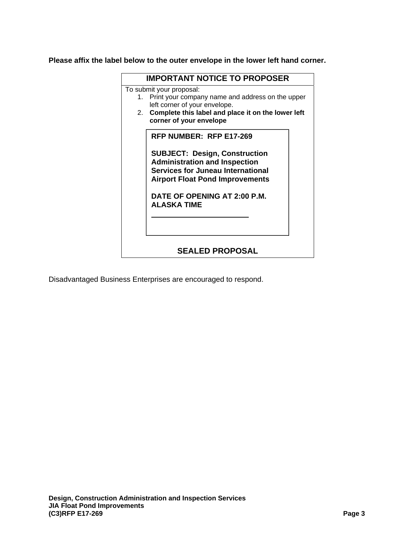**Please affix the label below to the outer envelope in the lower left hand corner.** 

|                                                    | <b>IMPORTANT NOTICE TO PROPOSER</b>                                                                                                                                                                        |  |  |  |  |  |  |
|----------------------------------------------------|------------------------------------------------------------------------------------------------------------------------------------------------------------------------------------------------------------|--|--|--|--|--|--|
|                                                    | To submit your proposal:<br>Print your company name and address on the upper<br>1.<br>left corner of your envelope.<br>Complete this label and place it on the lower left<br>2.<br>corner of your envelope |  |  |  |  |  |  |
|                                                    | RFP NUMBER: RFP E17-269                                                                                                                                                                                    |  |  |  |  |  |  |
|                                                    | <b>SUBJECT: Design, Construction</b><br><b>Administration and Inspection</b><br><b>Services for Juneau International</b><br><b>Airport Float Pond Improvements</b>                                         |  |  |  |  |  |  |
| DATE OF OPENING AT 2:00 P.M.<br><b>ALASKA TIME</b> |                                                                                                                                                                                                            |  |  |  |  |  |  |
| <b>SEALED PROPOSAL</b>                             |                                                                                                                                                                                                            |  |  |  |  |  |  |
|                                                    |                                                                                                                                                                                                            |  |  |  |  |  |  |

Disadvantaged Business Enterprises are encouraged to respond.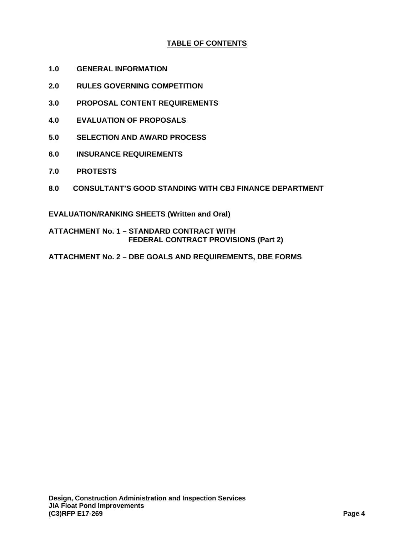## **TABLE OF CONTENTS**

- **1.0 GENERAL INFORMATION**
- **2.0 RULES GOVERNING COMPETITION**
- **3.0 PROPOSAL CONTENT REQUIREMENTS**
- **4.0 EVALUATION OF PROPOSALS**
- **5.0 SELECTION AND AWARD PROCESS**
- **6.0 INSURANCE REQUIREMENTS**
- **7.0 PROTESTS**
- **8.0 CONSULTANT'S GOOD STANDING WITH CBJ FINANCE DEPARTMENT**

**EVALUATION/RANKING SHEETS (Written and Oral)** 

**ATTACHMENT No. 1 – STANDARD CONTRACT WITH FEDERAL CONTRACT PROVISIONS (Part 2)** 

**ATTACHMENT No. 2 – DBE GOALS AND REQUIREMENTS, DBE FORMS**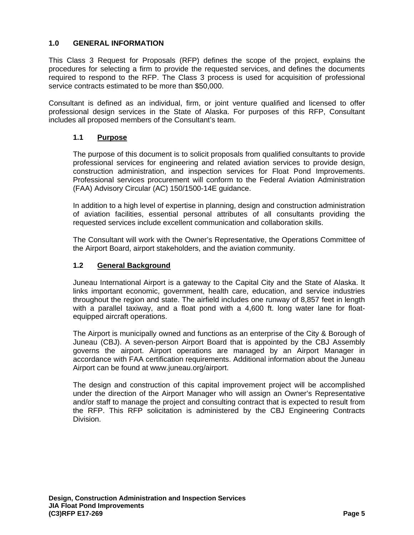### **1.0 GENERAL INFORMATION**

This Class 3 Request for Proposals (RFP) defines the scope of the project, explains the procedures for selecting a firm to provide the requested services, and defines the documents required to respond to the RFP. The Class 3 process is used for acquisition of professional service contracts estimated to be more than \$50,000.

Consultant is defined as an individual, firm, or joint venture qualified and licensed to offer professional design services in the State of Alaska. For purposes of this RFP, Consultant includes all proposed members of the Consultant's team.

## **1.1 Purpose**

The purpose of this document is to solicit proposals from qualified consultants to provide professional services for engineering and related aviation services to provide design, construction administration, and inspection services for Float Pond Improvements. Professional services procurement will conform to the Federal Aviation Administration (FAA) Advisory Circular (AC) 150/1500-14E guidance.

In addition to a high level of expertise in planning, design and construction administration of aviation facilities, essential personal attributes of all consultants providing the requested services include excellent communication and collaboration skills.

The Consultant will work with the Owner's Representative, the Operations Committee of the Airport Board, airport stakeholders, and the aviation community.

## **1.2 General Background**

Juneau International Airport is a gateway to the Capital City and the State of Alaska. It links important economic, government, health care, education, and service industries throughout the region and state. The airfield includes one runway of 8,857 feet in length with a parallel taxiway, and a float pond with a 4,600 ft. long water lane for floatequipped aircraft operations.

The Airport is municipally owned and functions as an enterprise of the City & Borough of Juneau (CBJ). A seven-person Airport Board that is appointed by the CBJ Assembly governs the airport. Airport operations are managed by an Airport Manager in accordance with FAA certification requirements. Additional information about the Juneau Airport can be found at www.juneau.org/airport.

The design and construction of this capital improvement project will be accomplished under the direction of the Airport Manager who will assign an Owner's Representative and/or staff to manage the project and consulting contract that is expected to result from the RFP. This RFP solicitation is administered by the CBJ Engineering Contracts Division.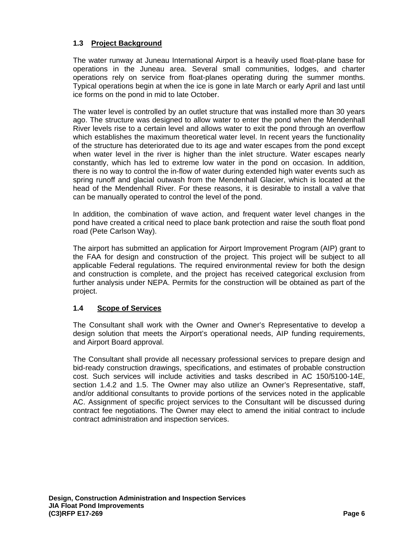## **1.3 Project Background**

The water runway at Juneau International Airport is a heavily used float-plane base for operations in the Juneau area. Several small communities, lodges, and charter operations rely on service from float-planes operating during the summer months. Typical operations begin at when the ice is gone in late March or early April and last until ice forms on the pond in mid to late October.

The water level is controlled by an outlet structure that was installed more than 30 years ago. The structure was designed to allow water to enter the pond when the Mendenhall River levels rise to a certain level and allows water to exit the pond through an overflow which establishes the maximum theoretical water level. In recent years the functionality of the structure has deteriorated due to its age and water escapes from the pond except when water level in the river is higher than the inlet structure. Water escapes nearly constantly, which has led to extreme low water in the pond on occasion. In addition, there is no way to control the in-flow of water during extended high water events such as spring runoff and glacial outwash from the Mendenhall Glacier, which is located at the head of the Mendenhall River. For these reasons, it is desirable to install a valve that can be manually operated to control the level of the pond.

In addition, the combination of wave action, and frequent water level changes in the pond have created a critical need to place bank protection and raise the south float pond road (Pete Carlson Way).

The airport has submitted an application for Airport Improvement Program (AIP) grant to the FAA for design and construction of the project. This project will be subject to all applicable Federal regulations. The required environmental review for both the design and construction is complete, and the project has received categorical exclusion from further analysis under NEPA. Permits for the construction will be obtained as part of the project.

#### **1.4 Scope of Services**

The Consultant shall work with the Owner and Owner's Representative to develop a design solution that meets the Airport's operational needs, AIP funding requirements, and Airport Board approval.

The Consultant shall provide all necessary professional services to prepare design and bid-ready construction drawings, specifications, and estimates of probable construction cost. Such services will include activities and tasks described in AC 150/5100-14E, section 1.4.2 and 1.5. The Owner may also utilize an Owner's Representative, staff, and/or additional consultants to provide portions of the services noted in the applicable AC. Assignment of specific project services to the Consultant will be discussed during contract fee negotiations. The Owner may elect to amend the initial contract to include contract administration and inspection services.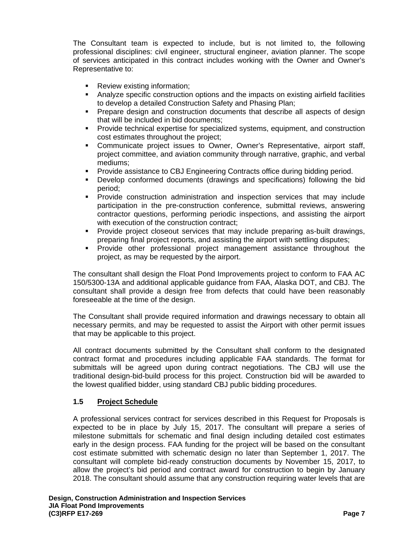The Consultant team is expected to include, but is not limited to, the following professional disciplines: civil engineer, structural engineer, aviation planner. The scope of services anticipated in this contract includes working with the Owner and Owner's Representative to:

- Review existing information;
- Analyze specific construction options and the impacts on existing airfield facilities to develop a detailed Construction Safety and Phasing Plan;
- **Prepare design and construction documents that describe all aspects of design** that will be included in bid documents;
- Provide technical expertise for specialized systems, equipment, and construction cost estimates throughout the project;
- Communicate project issues to Owner, Owner's Representative, airport staff, project committee, and aviation community through narrative, graphic, and verbal mediums;
- Provide assistance to CBJ Engineering Contracts office during bidding period.
- Develop conformed documents (drawings and specifications) following the bid period;
- **Provide construction administration and inspection services that may include** participation in the pre-construction conference, submittal reviews, answering contractor questions, performing periodic inspections, and assisting the airport with execution of the construction contract;
- Provide project closeout services that may include preparing as-built drawings, preparing final project reports, and assisting the airport with settling disputes;
- Provide other professional project management assistance throughout the project, as may be requested by the airport.

The consultant shall design the Float Pond Improvements project to conform to FAA AC 150/5300-13A and additional applicable guidance from FAA, Alaska DOT, and CBJ. The consultant shall provide a design free from defects that could have been reasonably foreseeable at the time of the design.

The Consultant shall provide required information and drawings necessary to obtain all necessary permits, and may be requested to assist the Airport with other permit issues that may be applicable to this project.

All contract documents submitted by the Consultant shall conform to the designated contract format and procedures including applicable FAA standards. The format for submittals will be agreed upon during contract negotiations. The CBJ will use the traditional design-bid-build process for this project. Construction bid will be awarded to the lowest qualified bidder, using standard CBJ public bidding procedures.

#### **1.5 Project Schedule**

A professional services contract for services described in this Request for Proposals is expected to be in place by July 15, 2017. The consultant will prepare a series of milestone submittals for schematic and final design including detailed cost estimates early in the design process. FAA funding for the project will be based on the consultant cost estimate submitted with schematic design no later than September 1, 2017. The consultant will complete bid-ready construction documents by November 15, 2017, to allow the project's bid period and contract award for construction to begin by January 2018. The consultant should assume that any construction requiring water levels that are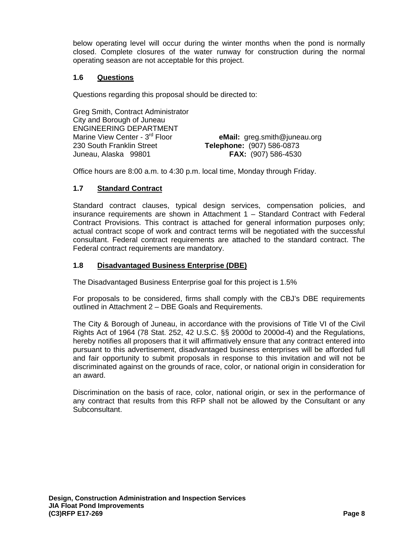below operating level will occur during the winter months when the pond is normally closed. Complete closures of the water runway for construction during the normal operating season are not acceptable for this project.

#### **1.6 Questions**

Questions regarding this proposal should be directed to:

Greg Smith, Contract Administrator City and Borough of Juneau ENGINEERING DEPARTMENT Marine View Center - 3rd Floor **eMail:** greg.smith@juneau.org 230 South Franklin Street **Telephone:** (907) 586-0873 Juneau, Alaska 99801 **FAX:** (907) 586-4530

Office hours are 8:00 a.m. to 4:30 p.m. local time, Monday through Friday.

#### **1.7 Standard Contract**

Standard contract clauses, typical design services, compensation policies, and insurance requirements are shown in Attachment 1 – Standard Contract with Federal Contract Provisions. This contract is attached for general information purposes only; actual contract scope of work and contract terms will be negotiated with the successful consultant. Federal contract requirements are attached to the standard contract. The Federal contract requirements are mandatory.

### **1.8 Disadvantaged Business Enterprise (DBE)**

The Disadvantaged Business Enterprise goal for this project is 1.5%

For proposals to be considered, firms shall comply with the CBJ's DBE requirements outlined in Attachment 2 – DBE Goals and Requirements.

The City & Borough of Juneau, in accordance with the provisions of Title VI of the Civil Rights Act of 1964 (78 Stat. 252, 42 U.S.C. §§ 2000d to 2000d-4) and the Regulations, hereby notifies all proposers that it will affirmatively ensure that any contract entered into pursuant to this advertisement, disadvantaged business enterprises will be afforded full and fair opportunity to submit proposals in response to this invitation and will not be discriminated against on the grounds of race, color, or national origin in consideration for an award.

Discrimination on the basis of race, color, national origin, or sex in the performance of any contract that results from this RFP shall not be allowed by the Consultant or any Subconsultant.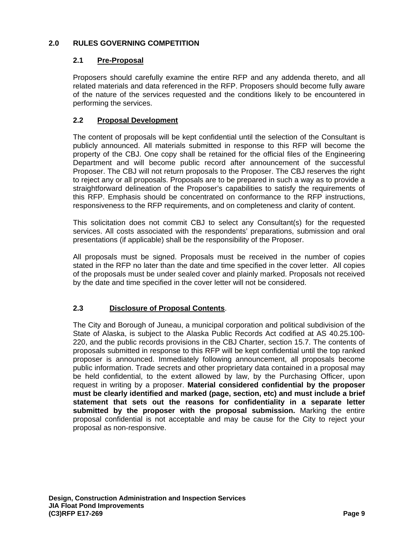## **2.0 RULES GOVERNING COMPETITION**

## **2.1 Pre-Proposal**

Proposers should carefully examine the entire RFP and any addenda thereto, and all related materials and data referenced in the RFP. Proposers should become fully aware of the nature of the services requested and the conditions likely to be encountered in performing the services.

## **2.2 Proposal Development**

The content of proposals will be kept confidential until the selection of the Consultant is publicly announced. All materials submitted in response to this RFP will become the property of the CBJ. One copy shall be retained for the official files of the Engineering Department and will become public record after announcement of the successful Proposer. The CBJ will not return proposals to the Proposer. The CBJ reserves the right to reject any or all proposals. Proposals are to be prepared in such a way as to provide a straightforward delineation of the Proposer's capabilities to satisfy the requirements of this RFP. Emphasis should be concentrated on conformance to the RFP instructions, responsiveness to the RFP requirements, and on completeness and clarity of content.

This solicitation does not commit CBJ to select any Consultant(s) for the requested services. All costs associated with the respondents' preparations, submission and oral presentations (if applicable) shall be the responsibility of the Proposer.

All proposals must be signed. Proposals must be received in the number of copies stated in the RFP no later than the date and time specified in the cover letter. All copies of the proposals must be under sealed cover and plainly marked. Proposals not received by the date and time specified in the cover letter will not be considered.

## **2.3 Disclosure of Proposal Contents**.

The City and Borough of Juneau, a municipal corporation and political subdivision of the State of Alaska, is subject to the Alaska Public Records Act codified at AS 40.25.100- 220, and the public records provisions in the CBJ Charter, section 15.7. The contents of proposals submitted in response to this RFP will be kept confidential until the top ranked proposer is announced. Immediately following announcement, all proposals become public information. Trade secrets and other proprietary data contained in a proposal may be held confidential, to the extent allowed by law, by the Purchasing Officer, upon request in writing by a proposer. **Material considered confidential by the proposer must be clearly identified and marked (page, section, etc) and must include a brief statement that sets out the reasons for confidentiality in a separate letter submitted by the proposer with the proposal submission.** Marking the entire proposal confidential is not acceptable and may be cause for the City to reject your proposal as non-responsive.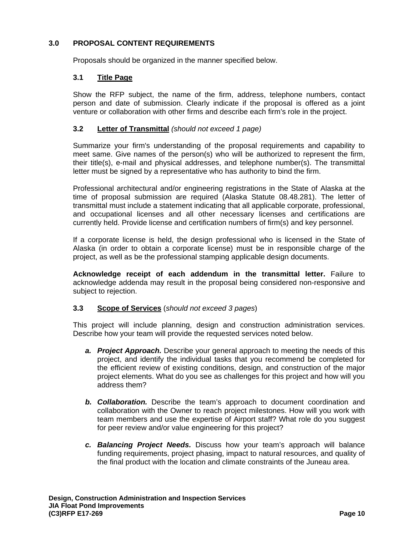### **3.0 PROPOSAL CONTENT REQUIREMENTS**

Proposals should be organized in the manner specified below.

#### **3.1 Title Page**

Show the RFP subject, the name of the firm, address, telephone numbers, contact person and date of submission. Clearly indicate if the proposal is offered as a joint venture or collaboration with other firms and describe each firm's role in the project.

### **3.2 Letter of Transmittal** *(should not exceed 1 page)*

Summarize your firm's understanding of the proposal requirements and capability to meet same. Give names of the person(s) who will be authorized to represent the firm, their title(s), e-mail and physical addresses, and telephone number(s). The transmittal letter must be signed by a representative who has authority to bind the firm.

Professional architectural and/or engineering registrations in the State of Alaska at the time of proposal submission are required (Alaska Statute 08.48.281). The letter of transmittal must include a statement indicating that all applicable corporate, professional, and occupational licenses and all other necessary licenses and certifications are currently held. Provide license and certification numbers of firm(s) and key personnel.

If a corporate license is held, the design professional who is licensed in the State of Alaska (in order to obtain a corporate license) must be in responsible charge of the project, as well as be the professional stamping applicable design documents.

**Acknowledge receipt of each addendum in the transmittal letter.** Failure to acknowledge addenda may result in the proposal being considered non-responsive and subject to rejection.

#### **3.3 Scope of Services** (*should not exceed 3 pages*)

This project will include planning, design and construction administration services. Describe how your team will provide the requested services noted below.

- *a. Project Approach.* Describe your general approach to meeting the needs of this project, and identify the individual tasks that you recommend be completed for the efficient review of existing conditions, design, and construction of the major project elements. What do you see as challenges for this project and how will you address them?
- *b. Collaboration.* Describe the team's approach to document coordination and collaboration with the Owner to reach project milestones. How will you work with team members and use the expertise of Airport staff? What role do you suggest for peer review and/or value engineering for this project?
- *c. Balancing Project Needs.* Discuss how your team's approach will balance funding requirements, project phasing, impact to natural resources, and quality of the final product with the location and climate constraints of the Juneau area.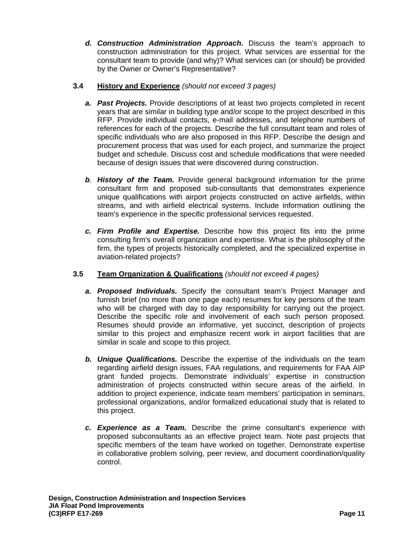*d. Construction Administration Approach.* Discuss the team's approach to construction administration for this project. What services are essential for the consultant team to provide (and why)? What services can (or should) be provided by the Owner or Owner's Representative?

## **3.4 History and Experience** *(should not exceed 3 pages)*

- *a. Past Projects.* Provide descriptions of at least two projects completed in recent years that are similar in building type and/or scope to the project described in this RFP. Provide individual contacts, e-mail addresses, and telephone numbers of references for each of the projects. Describe the full consultant team and roles of specific individuals who are also proposed in this RFP. Describe the design and procurement process that was used for each project, and summarize the project budget and schedule. Discuss cost and schedule modifications that were needed because of design issues that were discovered during construction.
- *b*. *History of the Team.* Provide general background information for the prime consultant firm and proposed sub-consultants that demonstrates experience unique qualifications with airport projects constructed on active airfields, within streams, and with airfield electrical systems. Include information outlining the team's experience in the specific professional services requested.
- *c. Firm Profile and Expertise.* Describe how this project fits into the prime consulting firm's overall organization and expertise. What is the philosophy of the firm, the types of projects historically completed, and the specialized expertise in aviation-related projects?

## **3.5 Team Organization & Qualifications** *(should not exceed 4 pages)*

- *a. Proposed Individuals.* Specify the consultant team's Project Manager and furnish brief (no more than one page each) resumes for key persons of the team who will be charged with day to day responsibility for carrying out the project. Describe the specific role and involvement of each such person proposed. Resumes should provide an informative, yet succinct, description of projects similar to this project and emphasize recent work in airport facilities that are similar in scale and scope to this project.
- *b. Unique Qualifications.* Describe the expertise of the individuals on the team regarding airfield design issues, FAA regulations, and requirements for FAA AIP grant funded projects. Demonstrate individuals' expertise in construction administration of projects constructed within secure areas of the airfield. In addition to project experience, indicate team members' participation in seminars, professional organizations, and/or formalized educational study that is related to this project.
- *c. Experience as a Team.* Describe the prime consultant's experience with proposed subconsultants as an effective project team. Note past projects that specific members of the team have worked on together. Demonstrate expertise in collaborative problem solving, peer review, and document coordination/quality control.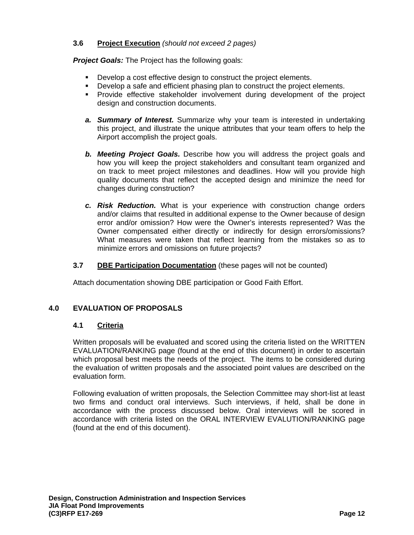## **3.6 Project Execution** *(should not exceed 2 pages)*

*Project Goals: The Project has the following goals:* 

- **Develop a cost effective design to construct the project elements.**
- Develop a safe and efficient phasing plan to construct the project elements.
- Provide effective stakeholder involvement during development of the project design and construction documents.
- *a. Summary of Interest.* Summarize why your team is interested in undertaking this project, and illustrate the unique attributes that your team offers to help the Airport accomplish the project goals.
- *b. Meeting Project Goals.* Describe how you will address the project goals and how you will keep the project stakeholders and consultant team organized and on track to meet project milestones and deadlines. How will you provide high quality documents that reflect the accepted design and minimize the need for changes during construction?
- *c. Risk Reduction.* What is your experience with construction change orders and/or claims that resulted in additional expense to the Owner because of design error and/or omission? How were the Owner's interests represented? Was the Owner compensated either directly or indirectly for design errors/omissions? What measures were taken that reflect learning from the mistakes so as to minimize errors and omissions on future projects?

## **3.7 DBE Participation Documentation** (these pages will not be counted)

Attach documentation showing DBE participation or Good Faith Effort.

## **4.0 EVALUATION OF PROPOSALS**

#### **4.1 Criteria**

Written proposals will be evaluated and scored using the criteria listed on the WRITTEN EVALUATION/RANKING page (found at the end of this document) in order to ascertain which proposal best meets the needs of the project. The items to be considered during the evaluation of written proposals and the associated point values are described on the evaluation form.

Following evaluation of written proposals, the Selection Committee may short-list at least two firms and conduct oral interviews. Such interviews, if held, shall be done in accordance with the process discussed below. Oral interviews will be scored in accordance with criteria listed on the ORAL INTERVIEW EVALUTION/RANKING page (found at the end of this document).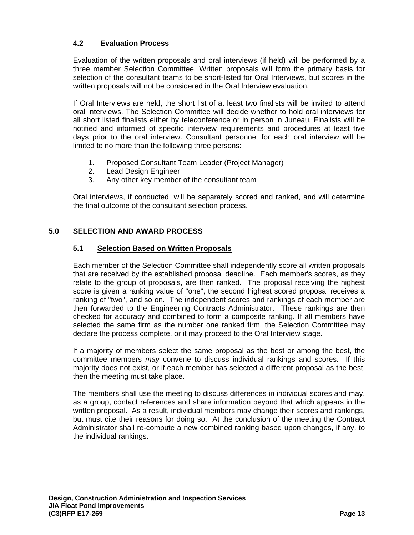## **4.2 Evaluation Process**

Evaluation of the written proposals and oral interviews (if held) will be performed by a three member Selection Committee. Written proposals will form the primary basis for selection of the consultant teams to be short-listed for Oral Interviews, but scores in the written proposals will not be considered in the Oral Interview evaluation.

If Oral Interviews are held, the short list of at least two finalists will be invited to attend oral interviews. The Selection Committee will decide whether to hold oral interviews for all short listed finalists either by teleconference or in person in Juneau. Finalists will be notified and informed of specific interview requirements and procedures at least five days prior to the oral interview. Consultant personnel for each oral interview will be limited to no more than the following three persons:

- 1. Proposed Consultant Team Leader (Project Manager)
- 2. Lead Design Engineer
- 3. Any other key member of the consultant team

Oral interviews, if conducted, will be separately scored and ranked, and will determine the final outcome of the consultant selection process.

## **5.0 SELECTION AND AWARD PROCESS**

## **5.1 Selection Based on Written Proposals**

Each member of the Selection Committee shall independently score all written proposals that are received by the established proposal deadline. Each member's scores, as they relate to the group of proposals, are then ranked. The proposal receiving the highest score is given a ranking value of "one", the second highest scored proposal receives a ranking of "two", and so on. The independent scores and rankings of each member are then forwarded to the Engineering Contracts Administrator. These rankings are then checked for accuracy and combined to form a composite ranking. If all members have selected the same firm as the number one ranked firm, the Selection Committee may declare the process complete, or it may proceed to the Oral Interview stage.

If a majority of members select the same proposal as the best or among the best, the committee members *may* convene to discuss individual rankings and scores. If this majority does not exist, or if each member has selected a different proposal as the best, then the meeting must take place.

The members shall use the meeting to discuss differences in individual scores and may, as a group, contact references and share information beyond that which appears in the written proposal. As a result, individual members may change their scores and rankings, but must cite their reasons for doing so. At the conclusion of the meeting the Contract Administrator shall re-compute a new combined ranking based upon changes, if any, to the individual rankings.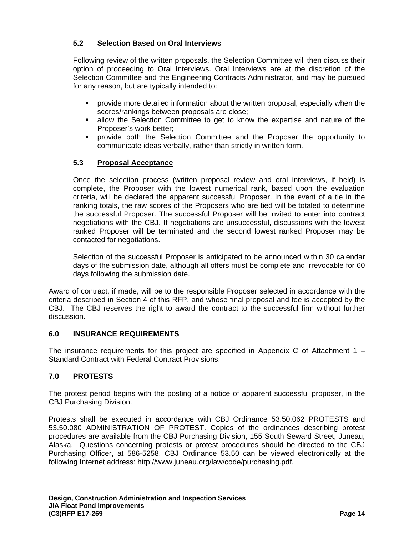## **5.2 Selection Based on Oral Interviews**

Following review of the written proposals, the Selection Committee will then discuss their option of proceeding to Oral Interviews. Oral Interviews are at the discretion of the Selection Committee and the Engineering Contracts Administrator, and may be pursued for any reason, but are typically intended to:

- provide more detailed information about the written proposal, especially when the scores/rankings between proposals are close;
- allow the Selection Committee to get to know the expertise and nature of the Proposer's work better;
- provide both the Selection Committee and the Proposer the opportunity to communicate ideas verbally, rather than strictly in written form.

## **5.3 Proposal Acceptance**

Once the selection process (written proposal review and oral interviews, if held) is complete, the Proposer with the lowest numerical rank, based upon the evaluation criteria, will be declared the apparent successful Proposer. In the event of a tie in the ranking totals, the raw scores of the Proposers who are tied will be totaled to determine the successful Proposer. The successful Proposer will be invited to enter into contract negotiations with the CBJ. If negotiations are unsuccessful, discussions with the lowest ranked Proposer will be terminated and the second lowest ranked Proposer may be contacted for negotiations.

Selection of the successful Proposer is anticipated to be announced within 30 calendar days of the submission date, although all offers must be complete and irrevocable for 60 days following the submission date.

Award of contract, if made, will be to the responsible Proposer selected in accordance with the criteria described in Section 4 of this RFP, and whose final proposal and fee is accepted by the CBJ. The CBJ reserves the right to award the contract to the successful firm without further discussion.

## **6.0 INSURANCE REQUIREMENTS**

The insurance requirements for this project are specified in Appendix C of Attachment  $1 -$ Standard Contract with Federal Contract Provisions.

## **7.0 PROTESTS**

The protest period begins with the posting of a notice of apparent successful proposer, in the CBJ Purchasing Division.

Protests shall be executed in accordance with CBJ Ordinance 53.50.062 PROTESTS and 53.50.080 ADMINISTRATION OF PROTEST. Copies of the ordinances describing protest procedures are available from the CBJ Purchasing Division, 155 South Seward Street, Juneau, Alaska. Questions concerning protests or protest procedures should be directed to the CBJ Purchasing Officer, at 586-5258. CBJ Ordinance 53.50 can be viewed electronically at the following Internet address: http://www.juneau.org/law/code/purchasing.pdf.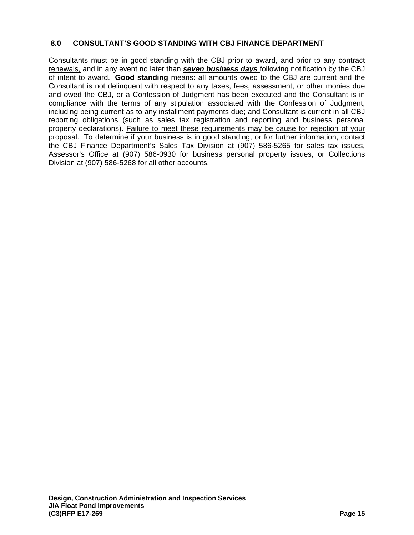## **8.0 CONSULTANT'S GOOD STANDING WITH CBJ FINANCE DEPARTMENT**

Consultants must be in good standing with the CBJ prior to award, and prior to any contract renewals, and in any event no later than *seven business days* following notification by the CBJ of intent to award. **Good standing** means: all amounts owed to the CBJ are current and the Consultant is not delinquent with respect to any taxes, fees, assessment, or other monies due and owed the CBJ, or a Confession of Judgment has been executed and the Consultant is in compliance with the terms of any stipulation associated with the Confession of Judgment, including being current as to any installment payments due; and Consultant is current in all CBJ reporting obligations (such as sales tax registration and reporting and business personal property declarations). Failure to meet these requirements may be cause for rejection of your proposal. To determine if your business is in good standing, or for further information, contact the CBJ Finance Department's Sales Tax Division at (907) 586-5265 for sales tax issues, Assessor's Office at (907) 586-0930 for business personal property issues, or Collections Division at (907) 586-5268 for all other accounts.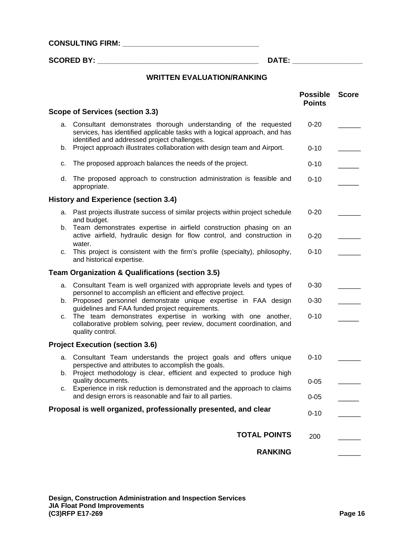**CONSULTING FIRM: \_\_\_\_\_\_\_\_\_\_\_\_\_\_\_\_\_\_\_\_\_\_\_\_\_\_\_\_\_\_\_\_\_** 

**SCORED BY: \_\_\_\_\_\_\_\_\_\_\_\_\_\_\_\_\_\_\_\_\_\_\_\_\_\_\_\_\_\_\_\_\_\_\_\_\_\_\_ DATE: \_\_\_\_\_\_\_\_\_\_\_\_\_\_\_\_\_** 

## **WRITTEN EVALUATION/RANKING**

|    |                                                                                                                                                                                                  | <b>Possible</b><br><b>Points</b> | <b>Score</b> |
|----|--------------------------------------------------------------------------------------------------------------------------------------------------------------------------------------------------|----------------------------------|--------------|
|    | Scope of Services (section 3.3)                                                                                                                                                                  |                                  |              |
|    | a. Consultant demonstrates thorough understanding of the requested<br>services, has identified applicable tasks with a logical approach, and has<br>identified and addressed project challenges. | $0 - 20$                         |              |
| b. | Project approach illustrates collaboration with design team and Airport.                                                                                                                         | $0 - 10$                         |              |
| c. | The proposed approach balances the needs of the project.                                                                                                                                         | $0 - 10$                         |              |
| d. | The proposed approach to construction administration is feasible and<br>appropriate.                                                                                                             | $0 - 10$                         |              |
|    | History and Experience (section 3.4)                                                                                                                                                             |                                  |              |
|    | a. Past projects illustrate success of similar projects within project schedule<br>and budget.                                                                                                   | $0 - 20$                         |              |
|    | b. Team demonstrates expertise in airfield construction phasing on an<br>active airfield, hydraulic design for flow control, and construction in<br>water.                                       | $0 - 20$                         |              |
| c. | This project is consistent with the firm's profile (specialty), philosophy,<br>and historical expertise.                                                                                         | $0 - 10$                         |              |
|    | <b>Team Organization &amp; Qualifications (section 3.5)</b>                                                                                                                                      |                                  |              |
|    | a. Consultant Team is well organized with appropriate levels and types of<br>personnel to accomplish an efficient and effective project.                                                         | $0 - 30$                         |              |
| b. | Proposed personnel demonstrate unique expertise in FAA design<br>guidelines and FAA funded project requirements.                                                                                 | $0 - 30$                         |              |
| C. | The team demonstrates expertise in working with one another,<br>collaborative problem solving, peer review, document coordination, and<br>quality control.                                       | $0 - 10$                         |              |
|    | <b>Project Execution (section 3.6)</b>                                                                                                                                                           |                                  |              |
|    | a. Consultant Team understands the project goals and offers unique<br>perspective and attributes to accomplish the goals.                                                                        | $0 - 10$                         |              |
| b. | Project methodology is clear, efficient and expected to produce high<br>quality documents.                                                                                                       | $0 - 05$                         |              |
| C. | Experience in risk reduction is demonstrated and the approach to claims<br>and design errors is reasonable and fair to all parties.                                                              | $0 - 05$                         |              |
|    | Proposal is well organized, professionally presented, and clear                                                                                                                                  | $0 - 10$                         |              |
|    | <b>TOTAL POINTS</b>                                                                                                                                                                              | 200                              |              |
|    | <b>RANKING</b>                                                                                                                                                                                   |                                  |              |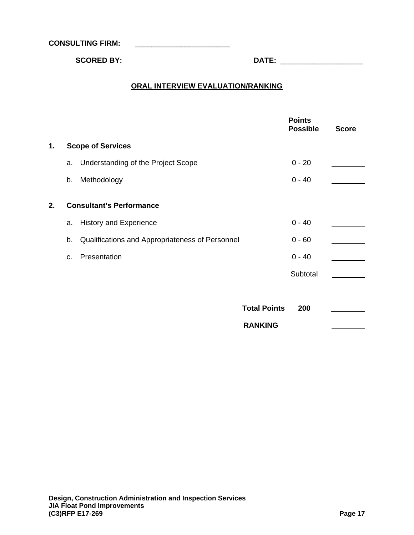**CONSULTING FIRM:** \_\_\_\_\_\_\_\_\_\_\_\_\_\_\_\_\_\_\_\_\_\_\_

 **SCORED BY: DATE:** \_\_\_\_\_\_\_\_\_\_\_\_\_\_\_\_\_\_\_\_

## **ORAL INTERVIEW EVALUATION/RANKING**

|    |                |                                                 |                     | <b>Points</b><br><b>Possible</b> | <b>Score</b> |
|----|----------------|-------------------------------------------------|---------------------|----------------------------------|--------------|
| 1. |                | <b>Scope of Services</b>                        |                     |                                  |              |
|    | a.             | Understanding of the Project Scope              |                     | $0 - 20$                         |              |
|    | b.             | Methodology                                     |                     | $0 - 40$                         |              |
| 2. |                | <b>Consultant's Performance</b>                 |                     |                                  |              |
|    | a.             | <b>History and Experience</b>                   |                     | $0 - 40$                         |              |
|    | b.             | Qualifications and Appropriateness of Personnel |                     | $0 - 60$                         |              |
|    | C <sub>1</sub> | Presentation                                    |                     | $0 - 40$                         |              |
|    |                |                                                 |                     | Subtotal                         |              |
|    |                |                                                 |                     |                                  |              |
|    |                |                                                 | <b>Total Points</b> | 200                              |              |
|    |                |                                                 | <b>RANKING</b>      |                                  |              |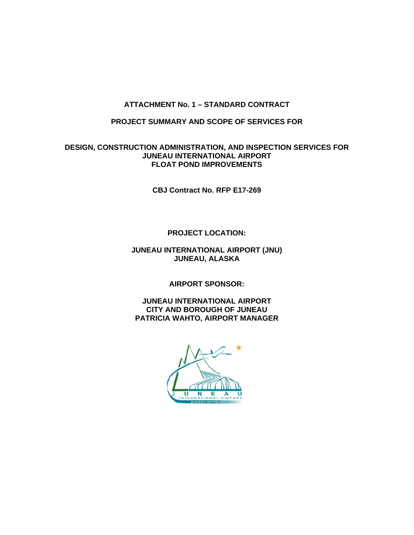## **ATTACHMENT No. 1 – STANDARD CONTRACT**

#### **PROJECT SUMMARY AND SCOPE OF SERVICES FOR**

#### **DESIGN, CONSTRUCTION ADMINISTRATION, AND INSPECTION SERVICES FOR JUNEAU INTERNATIONAL AIRPORT FLOAT POND IMPROVEMENTS**

**CBJ Contract No. RFP E17-269** 

## **PROJECT LOCATION:**

#### **JUNEAU INTERNATIONAL AIRPORT (JNU) JUNEAU, ALASKA**

**AIRPORT SPONSOR:** 

**JUNEAU INTERNATIONAL AIRPORT CITY AND BOROUGH OF JUNEAU PATRICIA WAHTO, AIRPORT MANAGER** 

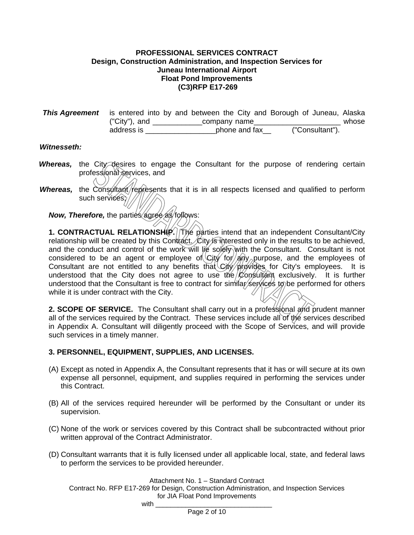#### **PROFESSIONAL SERVICES CONTRACT Design, Construction Administration, and Inspection Services for Juneau International Airport Float Pond Improvements (C3)RFP E17-269**

| <b>This Agreement</b> is entered into by and between the City and Borough of Juneau, Alaska |               |                 |       |
|---------------------------------------------------------------------------------------------|---------------|-----------------|-------|
| ("City"), and                                                                               | company name  |                 | whose |
| address is                                                                                  | phone and fax | ("Consultant"). |       |

#### *Witnesseth:*

- Whereas, the City desires to engage the Consultant for the purpose of rendering certain professional services, and
- *Whereas,* the Consultant/represents that it is in all respects licensed and qualified to perform such services; $\sqrt{ }$

**Now, Therefore, the parties agree as follows:** 

**1. CONTRACTUAL RELATIONSHIP.** The parties intend that an independent Consultant/City relationship will be created by this Contract. City is interested only in the results to be achieved, and the conduct and control of the work will lie solely with the Consultant. Consultant is not considered to be an agent or employee of  $City/60/200$  purpose, and the employees of Consultant are not entitled to any benefits that  $City/pty/tdes$  for City's employees. It is understood that the City does not agree to use the Consultant exclusively. It is further understood that the Consultant is free to contract for similar/services to be performed for others while it is under contract with the City.

**2. SCOPE OF SERVICE.** The Consultant shall carry out in a professional and prudent manner all of the services required by the Contract. These services include all of the services described in Appendix A. Consultant will diligently proceed with the Scope of Services, and will provide such services in a timely manner.

#### **3. PERSONNEL, EQUIPMENT, SUPPLIES, AND LICENSES.**

 $with$ 

- (A) Except as noted in Appendix A, the Consultant represents that it has or will secure at its own expense all personnel, equipment, and supplies required in performing the services under this Contract.
- (B) All of the services required hereunder will be performed by the Consultant or under its supervision.
- (C) None of the work or services covered by this Contract shall be subcontracted without prior written approval of the Contract Administrator.
- (D) Consultant warrants that it is fully licensed under all applicable local, state, and federal laws to perform the services to be provided hereunder.

Attachment No. 1 – Standard Contract

Contract No. RFP E17-269 for Design, Construction Administration, and Inspection Services for JIA Float Pond Improvements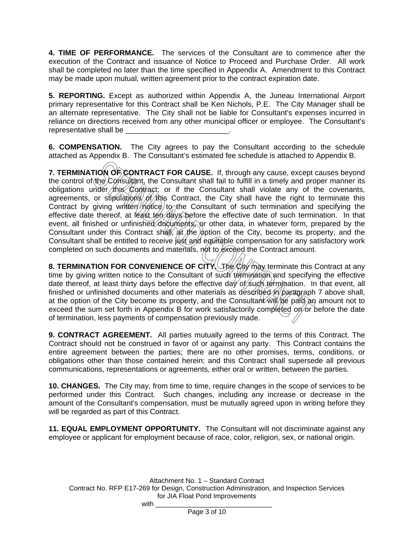**4. TIME OF PERFORMANCE.** The services of the Consultant are to commence after the execution of the Contract and issuance of Notice to Proceed and Purchase Order. All work shall be completed no later than the time specified in Appendix A. Amendment to this Contract may be made upon mutual, written agreement prior to the contract expiration date.

**5. REPORTING.** Except as authorized within Appendix A, the Juneau International Airport primary representative for this Contract shall be Ken Nichols, P.E. The City Manager shall be an alternate representative. The City shall not be liable for Consultant's expenses incurred in reliance on directions received from any other municipal officer or employee. The Consultant's representative shall be

**6. COMPENSATION.** The City agrees to pay the Consultant according to the schedule attached as Appendix B. The Consultant's estimated fee schedule is attached to Appendix B.

**7. TERMINATION OF CONTRACT FOR CAUSE.** If, through any cause, except causes beyond the control of the Consultant, the Consultant shall fail to fulfill in a timely and proper manner its obligations under this Contract; or if the Consultant shall violate any of the covenants, agreements, or stipulations of this Contract, the City shall have the right to terminate this Contract by giving written  $m$  to the Consultant of such termination and specifying the effective date thereof, at least ten days before the effective date of such termination. In that event, all finished or unfinished documents, or other data, in whatever form, prepared by the Consultant under this Contract shall, at the option of the City, become its property, and the Consultant shall be entitled to receive just and equitable compensation for any satisfactory work completed on such documents and materials, not to exceed the Contract amount.

**8. TERMINATION FOR CONVENIENCE OF CITY.** The City may terminate this Contract at any time by giving written notice to the Consultant of such termination and specifying the effective date thereof, at least thirty days before the effective day of such termination. In that event, all finished or unfinished documents and other materials as described in paragraph 7 above shall, at the option of the City become its property, and the Consultant  $\hat{w}$   $\hat{w}$   $\hat{p}$   $\hat{p}$  an amount not to exceed the sum set forth in Appendix B for work satisfactorily completed on or before the date of termination, less payments of compensation previously made.

**9. CONTRACT AGREEMENT.** All parties mutually agreed to the terms of this Contract. The Contract should not be construed in favor of or against any party. This Contract contains the entire agreement between the parties; there are no other promises, terms, conditions, or obligations other than those contained herein; and this Contract shall supersede all previous communications, representations or agreements, either oral or written, between the parties.

**10. CHANGES.** The City may, from time to time, require changes in the scope of services to be performed under this Contract. Such changes, including any increase or decrease in the amount of the Consultant's compensation, must be mutually agreed upon in writing before they will be regarded as part of this Contract.

**11. EQUAL EMPLOYMENT OPPORTUNITY.** The Consultant will not discriminate against any employee or applicant for employment because of race, color, religion, sex, or national origin.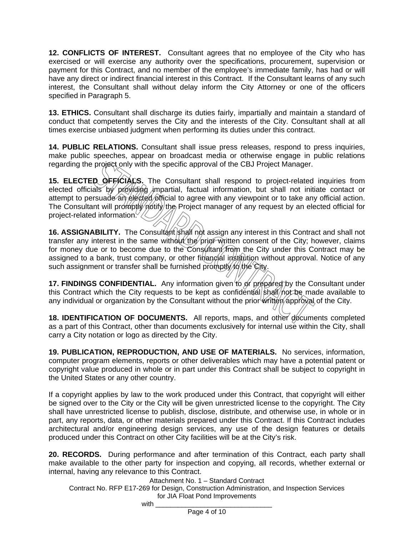**12. CONFLICTS OF INTEREST.** Consultant agrees that no employee of the City who has exercised or will exercise any authority over the specifications, procurement, supervision or payment for this Contract, and no member of the employee's immediate family, has had or will have any direct or indirect financial interest in this Contract. If the Consultant learns of any such interest, the Consultant shall without delay inform the City Attorney or one of the officers specified in Paragraph 5.

**13. ETHICS.** Consultant shall discharge its duties fairly, impartially and maintain a standard of conduct that competently serves the City and the interests of the City. Consultant shall at all times exercise unbiased judgment when performing its duties under this contract.

**14. PUBLIC RELATIONS.** Consultant shall issue press releases, respond to press inquiries, make public speeches, appear on broadcast media or otherwise engage in public relations regarding the project only with the specific approval of the CBJ Project Manager.

15. ELECTED OFFICIALS. The Consultant shall respond to project-related inquiries from elected officials by providing impartial, factual information, but shall not initiate contact or attempt to persuade an elected official to agree with any viewpoint or to take any official action. The Consultant will promptly notify the Project manager of any request by an elected official for project-related information  $\sqrt{2}$ 

**16. ASSIGNABILITY.** The Consultant shall not assign any interest in this Contract and shall not transfer any interest in the same without the prior written consent of the City; however, claims for money due or to become due to the Consultant from the City under this Contract may be assigned to a bank, trust company, or other financial institution without approval. Notice of any such assignment or transfer shall be furnished promptly/to the City.

**17. FINDINGS CONFIDENTIAL.** Any information given to or prepared by the Consultant under this Contract which the City requests to be kept as confidential shall not be made available to any individual or organization by the Consultant without the prior written approval of the City.

**18. IDENTIFICATION OF DOCUMENTS.** All reports, maps, and other documents completed as a part of this Contract, other than documents exclusively for internal use within the City, shall carry a City notation or logo as directed by the City.

**19. PUBLICATION, REPRODUCTION, AND USE OF MATERIALS.** No services, information, computer program elements, reports or other deliverables which may have a potential patent or copyright value produced in whole or in part under this Contract shall be subject to copyright in the United States or any other country.

If a copyright applies by law to the work produced under this Contract, that copyright will either be signed over to the City or the City will be given unrestricted license to the copyright. The City shall have unrestricted license to publish, disclose, distribute, and otherwise use, in whole or in part, any reports, data, or other materials prepared under this Contract. If this Contract includes architectural and/or engineering design services, any use of the design features or details produced under this Contract on other City facilities will be at the City's risk.

**20. RECORDS.** During performance and after termination of this Contract, each party shall make available to the other party for inspection and copying, all records, whether external or internal, having any relevance to this Contract.

Attachment No. 1 – Standard Contract

Contract No. RFP E17-269 for Design, Construction Administration, and Inspection Services for JIA Float Pond Improvements  $with$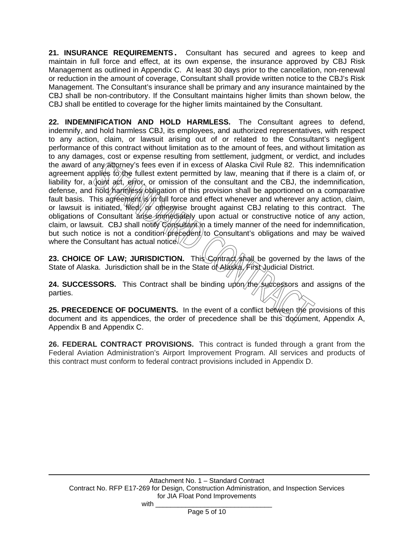**21. INSURANCE REQUIREMENTS.** Consultant has secured and agrees to keep and maintain in full force and effect, at its own expense, the insurance approved by CBJ Risk Management as outlined in Appendix C. At least 30 days prior to the cancellation, non-renewal or reduction in the amount of coverage, Consultant shall provide written notice to the CBJ's Risk Management. The Consultant's insurance shall be primary and any insurance maintained by the CBJ shall be non-contributory. If the Consultant maintains higher limits than shown below, the CBJ shall be entitled to coverage for the higher limits maintained by the Consultant.

**22. INDEMNIFICATION AND HOLD HARMLESS.** The Consultant agrees to defend, indemnify, and hold harmless CBJ, its employees, and authorized representatives, with respect to any action, claim, or lawsuit arising out of or related to the Consultant's negligent performance of this contract without limitation as to the amount of fees, and without limitation as to any damages, cost or expense resulting from settlement, judgment, or verdict, and includes the award of any attorney's fees even if in excess of Alaska Civil Rule 82. This indemnification agreement applies to the fullest extent permitted by law, meaning that if there is a claim of, or liability for, a joint act, error, or omission of the consultant and the CBJ, the indemnification, defense, and hold harmless obligation of this provision shall be apportioned on a comparative fault basis. This agreement/is in full force and effect whenever and wherever any action, claim, or lawsuit is initiated, filed of otherwise brought against CBJ relating to this contract. The obligations of Consultant arise immediately upon actual or constructive notice of any action, claim, or lawsuit. CBJ shall notity Consultant in a timely manner of the need for indemnification, but such notice is not a condition  $\phi$ recedent) to Consultant's obligations and may be waived where the Consultant has actual notice. $\sqrt{\langle}$ 

**23. CHOICE OF LAW; JURISDICTION.** This *Contract* shall be governed by the laws of the State of Alaska. Jurisdiction shall be in the State of Alaska, First Judicial District.

**24. SUCCESSORS.** This Contract shall be binding upon the successors and assigns of the parties.

25. PRECEDENCE OF DOCUMENTS. In the event of a conflict between the provisions of this document and its appendices, the order of precedence shall be this document, Appendix A, Appendix B and Appendix C.

**26. FEDERAL CONTRACT PROVISIONS.** This contract is funded through a grant from the Federal Aviation Administration's Airport Improvement Program. All services and products of this contract must conform to federal contract provisions included in Appendix D.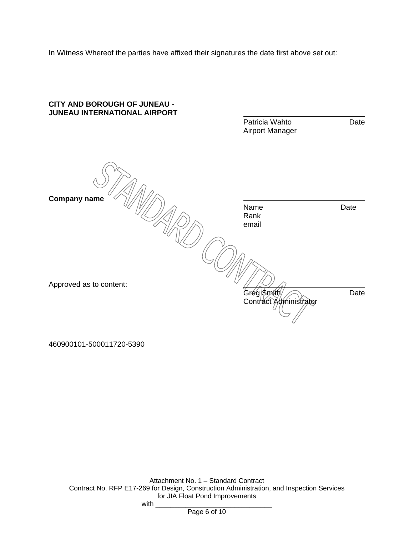In Witness Whereof the parties have affixed their signatures the date first above set out:



460900101-500011720-5390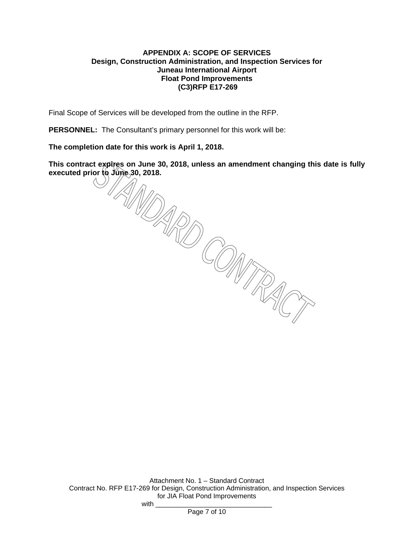#### **APPENDIX A: SCOPE OF SERVICES Design, Construction Administration, and Inspection Services for Juneau International Airport Float Pond Improvements (C3)RFP E17-269**

Final Scope of Services will be developed from the outline in the RFP.

**PERSONNEL:** The Consultant's primary personnel for this work will be:

**The completion date for this work is April 1, 2018.** 

**This contract expires on June 30, 2018, unless an amendment changing this date is fully executed prior to June 30, 2018.** 

Attachment No. 1 – Standard Contract Contract No. RFP E17-269 for Design, Construction Administration, and Inspection Services for JIA Float Pond Improvements with  $\Box$ 

Page 7 of 10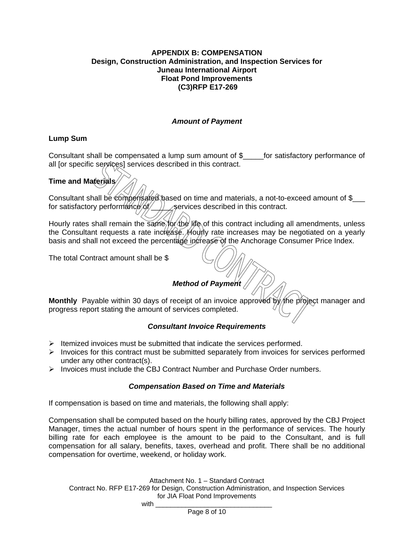#### **APPENDIX B: COMPENSATION Design, Construction Administration, and Inspection Services for Juneau International Airport Float Pond Improvements (C3)RFP E17-269**

#### *Amount of Payment*

#### **Lump Sum**

Consultant shall be compensated a lump sum amount of \$\_\_\_\_\_for satisfactory performance of all [or specific services] services described in this contract.

#### **Time and Materials**

Consultant shall be compensated based on time and materials, a not-to-exceed amount of \$ for satisfactory performance  $\frac{d}{dt}$  =  $\frac{d}{dt}$  services described in this contract.

Hourly rates shall remain the same for the life of this contract including all amendments, unless the Consultant requests a rate increase. Hourly rate increases may be negotiated on a yearly basis and shall not exceed the percentage increase of the Anchorage Consumer Price Index.

The total Contract amount shall be \$

## *Method of Payment*

**Monthly** Payable within 30 days of receipt of an invoice approved by the project manager and progress report stating the amount of services completed.

#### *Consultant Invoice Requirements*

- $\triangleright$  Itemized invoices must be submitted that indicate the services performed.
- $\triangleright$  Invoices for this contract must be submitted separately from invoices for services performed under any other contract(s).
- $\triangleright$  Invoices must include the CBJ Contract Number and Purchase Order numbers.

#### *Compensation Based on Time and Materials*

If compensation is based on time and materials, the following shall apply:

Compensation shall be computed based on the hourly billing rates, approved by the CBJ Project Manager, times the actual number of hours spent in the performance of services. The hourly billing rate for each employee is the amount to be paid to the Consultant, and is full compensation for all salary, benefits, taxes, overhead and profit. There shall be no additional compensation for overtime, weekend, or holiday work.

Attachment No. 1 – Standard Contract

Contract No. RFP E17-269 for Design, Construction Administration, and Inspection Services for JIA Float Pond Improvements

 $with$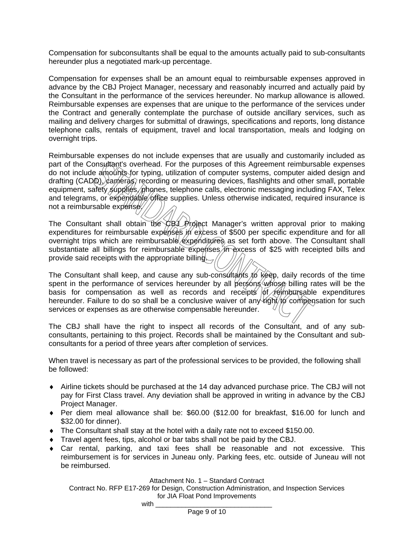Compensation for subconsultants shall be equal to the amounts actually paid to sub-consultants hereunder plus a negotiated mark-up percentage.

Compensation for expenses shall be an amount equal to reimbursable expenses approved in advance by the CBJ Project Manager, necessary and reasonably incurred and actually paid by the Consultant in the performance of the services hereunder. No markup allowance is allowed. Reimbursable expenses are expenses that are unique to the performance of the services under the Contract and generally contemplate the purchase of outside ancillary services, such as mailing and delivery charges for submittal of drawings, specifications and reports, long distance telephone calls, rentals of equipment, travel and local transportation, meals and lodging on overnight trips.

Reimbursable expenses do not include expenses that are usually and customarily included as part of the Consultant's overhead. For the purposes of this Agreement reimbursable expenses do not include amounts for typing, utilization of computer systems, computer aided design and drafting  $(CADD)$ ,  $\alpha$  anteras, recording or measuring devices, flashlights and other small, portable equipment, safety supplies, phones, telephone calls, electronic messaging including FAX, Telex and telegrams, or expendable office supplies. Unless otherwise indicated, required insurance is not a reimbursable expense.

The Consultant shall obtain the CBL Project Manager's written approval prior to making expenditures for reimbursable expenses in excess of \$500 per specific expenditure and for all overnight trips which are reimbursable expenditures as set forth above. The Consultant shall substantiate all billings for reimbursable expenses in excess of \$25 with receipted bills and provide said receipts with the appropriate billing.

The Consultant shall keep, and cause any sub-consultants to keep, daily records of the time spent in the performance of services hereunder by all persons whose billing rates will be the basis for compensation as well as records and receipts of reimbursable expenditures hereunder. Failure to do so shall be a conclusive waiver of any  $\hat{u}$  on  $\hat{v}$  compensation for such services or expenses as are otherwise compensable hereunder.

The CBJ shall have the right to inspect all records of the Consultant, and of any subconsultants, pertaining to this project. Records shall be maintained by the Consultant and subconsultants for a period of three years after completion of services.

When travel is necessary as part of the professional services to be provided, the following shall be followed:

- Airline tickets should be purchased at the 14 day advanced purchase price. The CBJ will not pay for First Class travel. Any deviation shall be approved in writing in advance by the CBJ Project Manager.
- Per diem meal allowance shall be: \$60.00 (\$12.00 for breakfast, \$16.00 for lunch and \$32.00 for dinner).
- The Consultant shall stay at the hotel with a daily rate not to exceed \$150.00.
- Travel agent fees, tips, alcohol or bar tabs shall not be paid by the CBJ.
- Car rental, parking, and taxi fees shall be reasonable and not excessive. This reimbursement is for services in Juneau only. Parking fees, etc. outside of Juneau will not be reimbursed.

Attachment No. 1 – Standard Contract

Contract No. RFP E17-269 for Design, Construction Administration, and Inspection Services for JIA Float Pond Improvements  $with$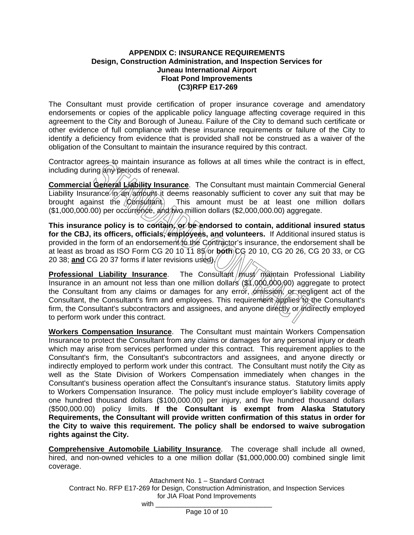#### **APPENDIX C: INSURANCE REQUIREMENTS Design, Construction Administration, and Inspection Services for Juneau International Airport Float Pond Improvements (C3)RFP E17-269**

The Consultant must provide certification of proper insurance coverage and amendatory endorsements or copies of the applicable policy language affecting coverage required in this agreement to the City and Borough of Juneau. Failure of the City to demand such certificate or other evidence of full compliance with these insurance requirements or failure of the City to identify a deficiency from evidence that is provided shall not be construed as a waiver of the obligation of the Consultant to maintain the insurance required by this contract.

Contractor agrees to maintain insurance as follows at all times while the contract is in effect, including during  $\langle \hat{n} \rangle$  periods of renewal.

**Commercial General Liability Insurance**. The Consultant must maintain Commercial General Liability Insurance  $\eta$  an amount it deems reasonably sufficient to cover any suit that may be brought against the  $\Diamond$  *c*  $\Diamond$  is a  $\Diamond$  and  $\Diamond$  and  $\Diamond$  and  $\Diamond$  and  $\Diamond$  at least one million dollars (\$1,000,000.00) per occurrence, and two million dollars (\$2,000,000.00) aggregate.

**This insurance policy is to contain, or be endorsed to contain, additional insured status**  for the CBJ, its officers, officials, employees, and volunteers. If Additional insured status is provided in the form of an endorsement to the Contractor's insurance, the endorsement shall be at least as broad as ISO Form CG 20 10 11 85 or **both** CG 20 10, CG 20 26, CG 20 33, or CG 20 38; and CG 20 37 forms if later revisions used).//

**Professional Liability Insurance**. The Consultant *M*ust maintain Professional Liability Insurance in an amount not less than one million dollars (\$1,000,000.00) aggregate to protect the Consultant from any claims or damages for any error, omission, or negligent act of the Consultant, the Consultant's firm and employees. This requirement applies to the Consultant's firm, the Consultant's subcontractors and assignees, and anyone directly or indirectly employed to perform work under this contract.

**Workers Compensation Insurance**. The Consultant must maintain Workers Compensation Insurance to protect the Consultant from any claims or damages for any personal injury or death which may arise from services performed under this contract. This requirement applies to the Consultant's firm, the Consultant's subcontractors and assignees, and anyone directly or indirectly employed to perform work under this contract. The Consultant must notify the City as well as the State Division of Workers Compensation immediately when changes in the Consultant's business operation affect the Consultant's insurance status. Statutory limits apply to Workers Compensation Insurance. The policy must include employer's liability coverage of one hundred thousand dollars (\$100,000.00) per injury, and five hundred thousand dollars (\$500,000.00) policy limits. **If the Consultant is exempt from Alaska Statutory Requirements, the Consultant will provide written confirmation of this status in order for the City to waive this requirement. The policy shall be endorsed to waive subrogation rights against the City.** 

**Comprehensive Automobile Liability Insurance**. The coverage shall include all owned, hired, and non-owned vehicles to a one million dollar (\$1,000,000.00) combined single limit coverage.

Attachment No. 1 – Standard Contract

Contract No. RFP E17-269 for Design, Construction Administration, and Inspection Services for JIA Float Pond Improvements  $with$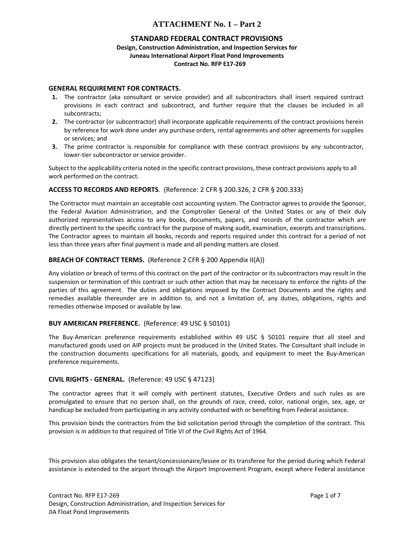#### **STANDARD FEDERAL CONTRACT PROVISIONS**

#### **Design, Construction Administration, and Inspection Services for Juneau International Airport Float Pond Improvements Contract No. RFP E17‐269**

#### **GENERAL REQUIREMENT FOR CONTRACTS.**

- **1.** The contractor (aka consultant or service provider) and all subcontractors shall insert required contract provisions in each contract and subcontract, and further require that the clauses be included in all subcontracts;
- **2.** The contractor (or subcontractor) shall incorporate applicable requirements of the contract provisions herein by reference for work done under any purchase orders, rental agreements and other agreements for supplies or services; and
- **3.** The prime contractor is responsible for compliance with these contract provisions by any subcontractor, lower-tier subcontractor or service provider.

Subject to the applicability criteria noted in the specific contract provisions, these contract provisions apply to all work performed on the contract.

#### **ACCESS TO RECORDS AND REPORTS**. (Reference: 2 CFR § 200.326, 2 CFR § 200.333)

The Contractor must maintain an acceptable cost accounting system. The Contractor agrees to provide the Sponsor, the Federal Aviation Administration, and the Comptroller General of the United States or any of their duly authorized representatives access to any books, documents, papers, and records of the contractor which are directly pertinent to the specific contract for the purpose of making audit, examination, excerpts and transcriptions. The Contractor agrees to maintain all books, records and reports required under this contract for a period of not less than three years after final payment is made and all pending matters are closed.

#### **BREACH OF CONTRACT TERMS.** (Reference 2 CFR § 200 Appendix II(A))

Any violation or breach of terms of this contract on the part of the contractor or its subcontractors may result in the suspension or termination of this contract or such other action that may be necessary to enforce the rights of the parties of this agreement. The duties and obligations imposed by the Contract Documents and the rights and remedies available thereunder are in addition to, and not a limitation of, any duties, obligations, rights and remedies otherwise imposed or available by law.

#### **BUY AMERICAN PREFERENCE.** (Reference: 49 USC § 50101)

The Buy-American preference requirements established within 49 USC § 50101 require that all steel and manufactured goods used on AIP projects must be produced in the United States. The Consultant shall include in the construction documents specifications for all materials, goods, and equipment to meet the Buy-American preference requirements.

#### **CIVIL RIGHTS ‐ GENERAL.** (Reference: 49 USC § 47123)

The contractor agrees that it will comply with pertinent statutes, Executive Orders and such rules as are promulgated to ensure that no person shall, on the grounds of race, creed, color, national origin, sex, age, or handicap be excluded from participating in any activity conducted with or benefiting from Federal assistance.

This provision binds the contractors from the bid solicitation period through the completion of the contract. This provision is in addition to that required of Title VI of the Civil Rights Act of 1964.

This provision also obligates the tenant/concessionaire/lessee or its transferee for the period during which Federal assistance is extended to the airport through the Airport Improvement Program, except where Federal assistance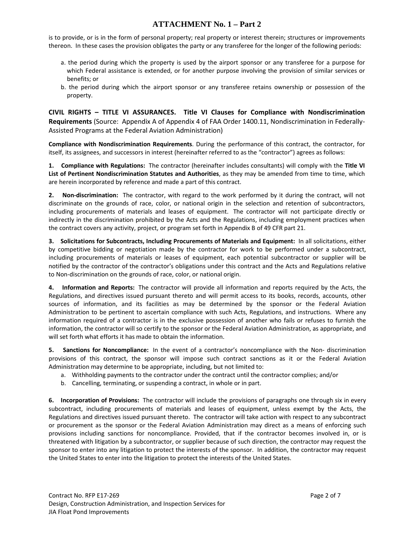is to provide, or is in the form of personal property; real property or interest therein; structures or improvements thereon. In these cases the provision obligates the party or any transferee for the longer of the following periods:

- a. the period during which the property is used by the airport sponsor or any transferee for a purpose for which Federal assistance is extended, or for another purpose involving the provision of similar services or benefits; or
- b. the period during which the airport sponsor or any transferee retains ownership or possession of the property.

**CIVIL RIGHTS – TITLE VI ASSURANCES. Title VI Clauses for Compliance with Nondiscrimination Requirements** (Source: Appendix A of Appendix 4 of FAA Order 1400.11, Nondiscrimination in Federally‐ Assisted Programs at the Federal Aviation Administration)

**Compliance with Nondiscrimination Requirements**. During the performance of this contract, the contractor, for itself, its assignees, and successors in interest (hereinafter referred to as the "contractor") agrees as follows:

**1. Compliance with Regulations:** The contractor (hereinafter includes consultants) will comply with the **Title VI List of Pertinent Nondiscrimination Statutes and Authorities**, as they may be amended from time to time, which are herein incorporated by reference and made a part of this contract.

**2. Non‐discrimination:** The contractor, with regard to the work performed by it during the contract, will not discriminate on the grounds of race, color, or national origin in the selection and retention of subcontractors, including procurements of materials and leases of equipment. The contractor will not participate directly or indirectly in the discrimination prohibited by the Acts and the Regulations, including employment practices when the contract covers any activity, project, or program set forth in Appendix B of 49 CFR part 21.

**3. Solicitations for Subcontracts, Including Procurements of Materials and Equipment:** In all solicitations, either by competitive bidding or negotiation made by the contractor for work to be performed under a subcontract, including procurements of materials or leases of equipment, each potential subcontractor or supplier will be notified by the contractor of the contractor's obligations under this contract and the Acts and Regulations relative to Non‐discrimination on the grounds of race, color, or national origin.

**4. Information and Reports:** The contractor will provide all information and reports required by the Acts, the Regulations, and directives issued pursuant thereto and will permit access to its books, records, accounts, other sources of information, and its facilities as may be determined by the sponsor or the Federal Aviation Administration to be pertinent to ascertain compliance with such Acts, Regulations, and instructions. Where any information required of a contractor is in the exclusive possession of another who fails or refuses to furnish the information, the contractor will so certify to the sponsor or the Federal Aviation Administration, as appropriate, and will set forth what efforts it has made to obtain the information.

**5. Sanctions for Noncompliance:** In the event of a contractor's noncompliance with the Non‐ discrimination provisions of this contract, the sponsor will impose such contract sanctions as it or the Federal Aviation Administration may determine to be appropriate, including, but not limited to:

- a. Withholding payments to the contractor under the contract until the contractor complies; and/or
- b. Cancelling, terminating, or suspending a contract, in whole or in part.

**6. Incorporation of Provisions:** The contractor will include the provisions of paragraphs one through six in every subcontract, including procurements of materials and leases of equipment, unless exempt by the Acts, the Regulations and directives issued pursuant thereto. The contractor will take action with respect to any subcontract or procurement as the sponsor or the Federal Aviation Administration may direct as a means of enforcing such provisions including sanctions for noncompliance. Provided, that if the contractor becomes involved in, or is threatened with litigation by a subcontractor, or supplier because of such direction, the contractor may request the sponsor to enter into any litigation to protect the interests of the sponsor. In addition, the contractor may request the United States to enter into the litigation to protect the interests of the United States.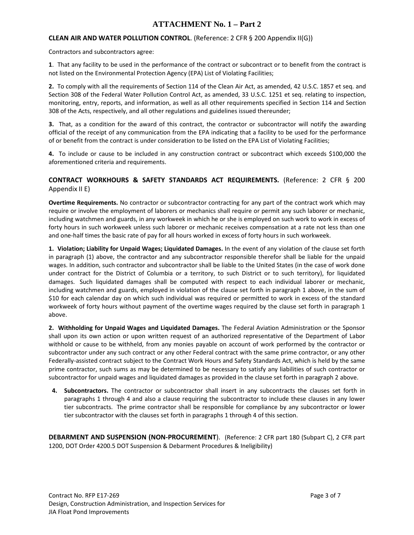#### **CLEAN AIR AND WATER POLLUTION CONTROL**. (Reference: 2 CFR § 200 Appendix II(G))

Contractors and subcontractors agree:

**1**. That any facility to be used in the performance of the contract or subcontract or to benefit from the contract is not listed on the Environmental Protection Agency (EPA) List of Violating Facilities;

**2.** To comply with all the requirements of Section 114 of the Clean Air Act, as amended, 42 U.S.C. 1857 et seq. and Section 308 of the Federal Water Pollution Control Act, as amended, 33 U.S.C. 1251 et seq. relating to inspection, monitoring, entry, reports, and information, as well as all other requirements specified in Section 114 and Section 308 of the Acts, respectively, and all other regulations and guidelines issued thereunder;

**3.** That, as a condition for the award of this contract, the contractor or subcontractor will notify the awarding official of the receipt of any communication from the EPA indicating that a facility to be used for the performance of or benefit from the contract is under consideration to be listed on the EPA List of Violating Facilities;

**4.** To include or cause to be included in any construction contract or subcontract which exceeds \$100,000 the aforementioned criteria and requirements.

#### **CONTRACT WORKHOURS & SAFETY STANDARDS ACT REQUIREMENTS.** (Reference: 2 CFR § 200 Appendix II E)

**Overtime Requirements.** No contractor or subcontractor contracting for any part of the contract work which may require or involve the employment of laborers or mechanics shall require or permit any such laborer or mechanic, including watchmen and guards, in any workweek in which he or she is employed on such work to work in excess of forty hours in such workweek unless such laborer or mechanic receives compensation at a rate not less than one and one-half times the basic rate of pay for all hours worked in excess of forty hours in such workweek.

**1. Violation; Liability for Unpaid Wages; Liquidated Damages.** In the event of any violation of the clause set forth in paragraph (1) above, the contractor and any subcontractor responsible therefor shall be liable for the unpaid wages. In addition, such contractor and subcontractor shall be liable to the United States (in the case of work done under contract for the District of Columbia or a territory, to such District or to such territory), for liquidated damages. Such liquidated damages shall be computed with respect to each individual laborer or mechanic, including watchmen and guards, employed in violation of the clause set forth in paragraph 1 above, in the sum of \$10 for each calendar day on which such individual was required or permitted to work in excess of the standard workweek of forty hours without payment of the overtime wages required by the clause set forth in paragraph 1 above.

**2. Withholding for Unpaid Wages and Liquidated Damages.** The Federal Aviation Administration or the Sponsor shall upon its own action or upon written request of an authorized representative of the Department of Labor withhold or cause to be withheld, from any monies payable on account of work performed by the contractor or subcontractor under any such contract or any other Federal contract with the same prime contractor, or any other Federally‐assisted contract subject to the Contract Work Hours and Safety Standards Act, which is held by the same prime contractor, such sums as may be determined to be necessary to satisfy any liabilities of such contractor or subcontractor for unpaid wages and liquidated damages as provided in the clause set forth in paragraph 2 above.

**4. Subcontractors.** The contractor or subcontractor shall insert in any subcontracts the clauses set forth in paragraphs 1 through 4 and also a clause requiring the subcontractor to include these clauses in any lower tier subcontracts. The prime contractor shall be responsible for compliance by any subcontractor or lower tier subcontractor with the clauses set forth in paragraphs 1 through 4 of this section.

**DEBARMENT AND SUSPENSION (NON‐PROCUREMENT**). (Reference: 2 CFR part 180 (Subpart C), 2 CFR part 1200, DOT Order 4200.5 DOT Suspension & Debarment Procedures & Ineligibility)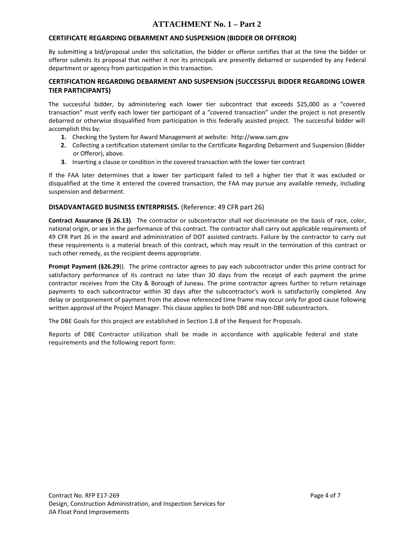#### **CERTIFICATE REGARDING DEBARMENT AND SUSPENSION (BIDDER OR OFFEROR)**

By submitting a bid/proposal under this solicitation, the bidder or offeror certifies that at the time the bidder or offeror submits its proposal that neither it nor its principals are presently debarred or suspended by any Federal department or agency from participation in this transaction.

#### **CERTIFICATION REGARDING DEBARMENT AND SUSPENSION (SUCCESSFUL BIDDER REGARDING LOWER TIER PARTICIPANTS)**

The successful bidder, by administering each lower tier subcontract that exceeds \$25,000 as a "covered transaction" must verify each lower tier participant of a "covered transaction" under the project is not presently debarred or otherwise disqualified from participation in this federally assisted project. The successful bidder will accomplish this by:

- **1.** Checking the System for Award Management at website: http://www.sam.gov
- **2.** Collecting a certification statement similar to the Certificate Regarding Debarment and Suspension (Bidder or Offeror), above.
- **3.** Inserting a clause or condition in the covered transaction with the lower tier contract

If the FAA later determines that a lower tier participant failed to tell a higher tier that it was excluded or disqualified at the time it entered the covered transaction, the FAA may pursue any available remedy, including suspension and debarment.

#### **DISADVANTAGED BUSINESS ENTERPRISES.** (Reference: 49 CFR part 26)

**Contract Assurance (§ 26.13)**. The contractor or subcontractor shall not discriminate on the basis of race, color, national origin, or sex in the performance of this contract. The contractor shall carry out applicable requirements of 49 CFR Part 26 in the award and administration of DOT assisted contracts. Failure by the contractor to carry out these requirements is a material breach of this contract, which may result in the termination of this contract or such other remedy, as the recipient deems appropriate.

**Prompt Payment (§26.29**)). The prime contractor agrees to pay each subcontractor under this prime contract for satisfactory performance of its contract no later than 30 days from the receipt of each payment the prime contractor receives from the City & Borough of Juneau. The prime contractor agrees further to return retainage payments to each subcontractor within 30 days after the subcontractor's work is satisfactorily completed. Any delay or postponement of payment from the above referenced time frame may occur only for good cause following written approval of the Project Manager. This clause applies to both DBE and non‐DBE subcontractors.

The DBE Goals for this project are established in Section 1.8 of the Request for Proposals.

Reports of DBE Contractor utilization shall be made in accordance with applicable federal and state requirements and the following report form: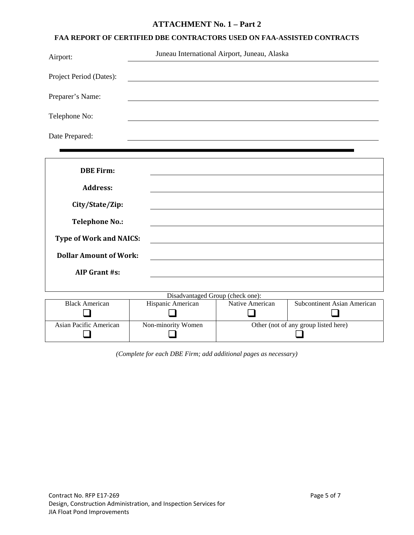#### **FAA REPORT OF CERTIFIED DBE CONTRACTORS USED ON FAA-ASSISTED CONTRACTS**

| Airport:                | Juneau International Airport, Juneau, Alaska |
|-------------------------|----------------------------------------------|
| Project Period (Dates): |                                              |
| Preparer's Name:        |                                              |
| Telephone No:           |                                              |
| Date Prepared:          |                                              |

| <b>DBE Firm:</b>                 |                    |                 |                                      |  |  |
|----------------------------------|--------------------|-----------------|--------------------------------------|--|--|
|                                  |                    |                 |                                      |  |  |
| <b>Address:</b>                  |                    |                 |                                      |  |  |
| City/State/Zip:                  |                    |                 |                                      |  |  |
|                                  |                    |                 |                                      |  |  |
| <b>Telephone No.:</b>            |                    |                 |                                      |  |  |
|                                  |                    |                 |                                      |  |  |
| <b>Type of Work and NAICS:</b>   |                    |                 |                                      |  |  |
| <b>Dollar Amount of Work:</b>    |                    |                 |                                      |  |  |
|                                  |                    |                 |                                      |  |  |
| <b>AIP Grant #s:</b>             |                    |                 |                                      |  |  |
|                                  |                    |                 |                                      |  |  |
| Disadvantaged Group (check one): |                    |                 |                                      |  |  |
| <b>Black American</b>            | Hispanic American  | Native American | <b>Subcontinent Asian American</b>   |  |  |
|                                  |                    |                 |                                      |  |  |
| Asian Pacific American           | Non-minority Women |                 | Other (not of any group listed here) |  |  |

*(Complete for each DBE Firm; add additional pages as necessary)*

 $\Box$ 

 $\Box$ 

Other (not of any group listed here)  $\Box$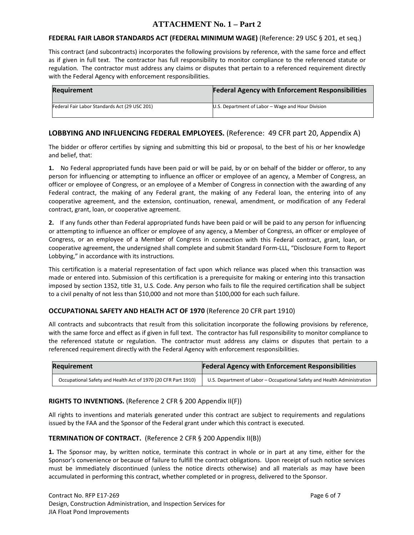#### **FEDERAL FAIR LABOR STANDARDS ACT (FEDERAL MINIMUM WAGE)** (Reference: 29 USC § 201, et seq.)

This contract (and subcontracts) incorporates the following provisions by reference, with the same force and effect as if given in full text. The contractor has full responsibility to monitor compliance to the referenced statute or regulation. The contractor must address any claims or disputes that pertain to a referenced requirement directly with the Federal Agency with enforcement responsibilities.

| <b>Requirement</b>                            | <b>Federal Agency with Enforcement Responsibilities</b> |
|-----------------------------------------------|---------------------------------------------------------|
| Federal Fair Labor Standards Act (29 USC 201) | U.S. Department of Labor – Wage and Hour Division       |

### **LOBBYING AND INFLUENCING FEDERAL EMPLOYEES.** (Reference: 49 CFR part 20, Appendix A)

The bidder or offeror certifies by signing and submitting this bid or proposal, to the best of his or her knowledge and belief, that:

**1.** No Federal appropriated funds have been paid or will be paid, by or on behalf of the bidder or offeror, to any person for influencing or attempting to influence an officer or employee of an agency, a Member of Congress, an officer or employee of Congress, or an employee of a Member of Congress in connection with the awarding of any Federal contract, the making of any Federal grant, the making of any Federal loan, the entering into of any cooperative agreement, and the extension, continuation, renewal, amendment, or modification of any Federal contract, grant, loan, or cooperative agreement.

**2.** If any funds other than Federal appropriated funds have been paid or will be paid to any person for influencing or attempting to influence an officer or employee of any agency, a Member of Congress, an officer or employee of Congress, or an employee of a Member of Congress in connection with this Federal contract, grant, loan, or cooperative agreement, the undersigned shall complete and submit Standard Form‐LLL, "Disclosure Form to Report Lobbying," in accordance with its instructions.

This certification is a material representation of fact upon which reliance was placed when this transaction was made or entered into. Submission of this certification is a prerequisite for making or entering into this transaction imposed by section 1352, title 31, U.S. Code. Any person who fails to file the required certification shall be subject to a civil penalty of not less than \$10,000 and not more than \$100,000 for each such failure.

#### **OCCUPATIONAL SAFETY AND HEALTH ACT OF 1970** (Reference 20 CFR part 1910)

All contracts and subcontracts that result from this solicitation incorporate the following provisions by reference, with the same force and effect as if given in full text. The contractor has full responsibility to monitor compliance to the referenced statute or regulation. The contractor must address any claims or disputes that pertain to a referenced requirement directly with the Federal Agency with enforcement responsibilities.

| Requirement                                                   | <b>Federal Agency with Enforcement Responsibilities</b>                  |
|---------------------------------------------------------------|--------------------------------------------------------------------------|
| Occupational Safety and Health Act of 1970 (20 CFR Part 1910) | U.S. Department of Labor - Occupational Safety and Health Administration |

#### **RIGHTS TO INVENTIONS.** (Reference 2 CFR § 200 Appendix II(F))

All rights to inventions and materials generated under this contract are subject to requirements and regulations issued by the FAA and the Sponsor of the Federal grant under which this contract is executed.

#### **TERMINATION OF CONTRACT.** (Reference 2 CFR § 200 Appendix II(B))

**1.** The Sponsor may, by written notice, terminate this contract in whole or in part at any time, either for the Sponsor's convenience or because of failure to fulfill the contract obligations. Upon receipt of such notice services must be immediately discontinued (unless the notice directs otherwise) and all materials as may have been accumulated in performing this contract, whether completed or in progress, delivered to the Sponsor.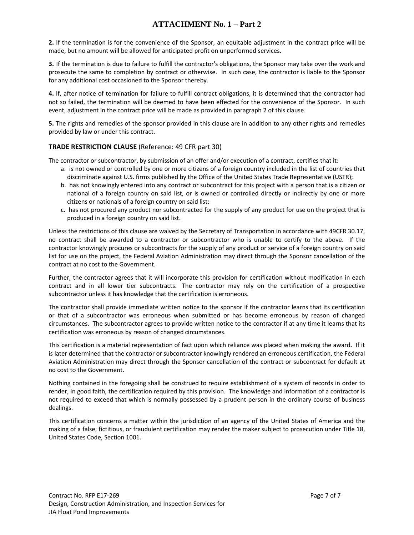**2.** If the termination is for the convenience of the Sponsor, an equitable adjustment in the contract price will be made, but no amount will be allowed for anticipated profit on unperformed services.

**3.** If the termination is due to failure to fulfill the contractor's obligations, the Sponsor may take over the work and prosecute the same to completion by contract or otherwise. In such case, the contractor is liable to the Sponsor for any additional cost occasioned to the Sponsor thereby.

**4.** If, after notice of termination for failure to fulfill contract obligations, it is determined that the contractor had not so failed, the termination will be deemed to have been effected for the convenience of the Sponsor. In such event, adjustment in the contract price will be made as provided in paragraph 2 of this clause.

**5.** The rights and remedies of the sponsor provided in this clause are in addition to any other rights and remedies provided by law or under this contract.

#### **TRADE RESTRICTION CLAUSE** (Reference: 49 CFR part 30)

The contractor or subcontractor, by submission of an offer and/or execution of a contract, certifies that it:

- a. is not owned or controlled by one or more citizens of a foreign country included in the list of countries that discriminate against U.S. firms published by the Office of the United States Trade Representative (USTR);
- b. has not knowingly entered into any contract or subcontract for this project with a person that is a citizen or national of a foreign country on said list, or is owned or controlled directly or indirectly by one or more citizens or nationals of a foreign country on said list;
- c. has not procured any product nor subcontracted for the supply of any product for use on the project that is produced in a foreign country on said list.

Unless the restrictions of this clause are waived by the Secretary of Transportation in accordance with 49CFR 30.17, no contract shall be awarded to a contractor or subcontractor who is unable to certify to the above. If the contractor knowingly procures or subcontracts for the supply of any product or service of a foreign country on said list for use on the project, the Federal Aviation Administration may direct through the Sponsor cancellation of the contract at no cost to the Government.

Further, the contractor agrees that it will incorporate this provision for certification without modification in each contract and in all lower tier subcontracts. The contractor may rely on the certification of a prospective subcontractor unless it has knowledge that the certification is erroneous.

The contractor shall provide immediate written notice to the sponsor if the contractor learns that its certification or that of a subcontractor was erroneous when submitted or has become erroneous by reason of changed circumstances. The subcontractor agrees to provide written notice to the contractor if at any time it learns that its certification was erroneous by reason of changed circumstances.

This certification is a material representation of fact upon which reliance was placed when making the award. If it is later determined that the contractor or subcontractor knowingly rendered an erroneous certification, the Federal Aviation Administration may direct through the Sponsor cancellation of the contract or subcontract for default at no cost to the Government.

Nothing contained in the foregoing shall be construed to require establishment of a system of records in order to render, in good faith, the certification required by this provision. The knowledge and information of a contractor is not required to exceed that which is normally possessed by a prudent person in the ordinary course of business dealings.

This certification concerns a matter within the jurisdiction of an agency of the United States of America and the making of a false, fictitious, or fraudulent certification may render the maker subject to prosecution under Title 18, United States Code, Section 1001.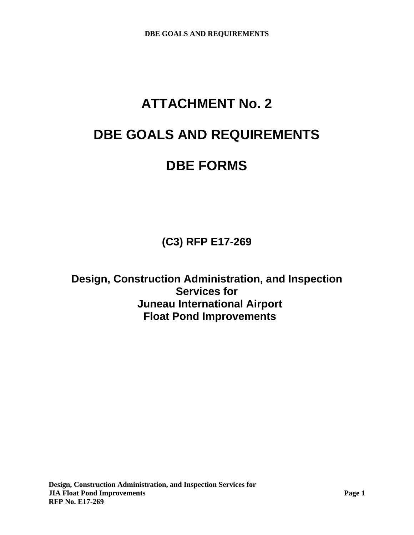# **ATTACHMENT No. 2**

## **DBE GOALS AND REQUIREMENTS**

## **DBE FORMS**

**(C3) RFP E17-269** 

**Design, Construction Administration, and Inspection Services for Juneau International Airport Float Pond Improvements**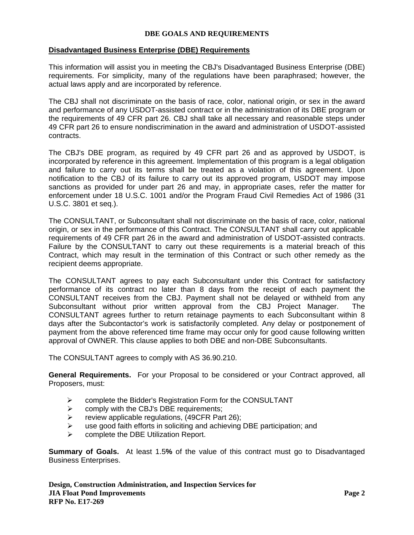#### **Disadvantaged Business Enterprise (DBE) Requirements**

This information will assist you in meeting the CBJ's Disadvantaged Business Enterprise (DBE) requirements. For simplicity, many of the regulations have been paraphrased; however, the actual laws apply and are incorporated by reference.

The CBJ shall not discriminate on the basis of race, color, national origin, or sex in the award and performance of any USDOT-assisted contract or in the administration of its DBE program or the requirements of 49 CFR part 26. CBJ shall take all necessary and reasonable steps under 49 CFR part 26 to ensure nondiscrimination in the award and administration of USDOT-assisted contracts.

The CBJ's DBE program, as required by 49 CFR part 26 and as approved by USDOT, is incorporated by reference in this agreement. Implementation of this program is a legal obligation and failure to carry out its terms shall be treated as a violation of this agreement. Upon notification to the CBJ of its failure to carry out its approved program, USDOT may impose sanctions as provided for under part 26 and may, in appropriate cases, refer the matter for enforcement under 18 U.S.C. 1001 and/or the Program Fraud Civil Remedies Act of 1986 (31 U.S.C. 3801 et seq.).

The CONSULTANT, or Subconsultant shall not discriminate on the basis of race, color, national origin, or sex in the performance of this Contract. The CONSULTANT shall carry out applicable requirements of 49 CFR part 26 in the award and administration of USDOT-assisted contracts. Failure by the CONSULTANT to carry out these requirements is a material breach of this Contract, which may result in the termination of this Contract or such other remedy as the recipient deems appropriate.

The CONSULTANT agrees to pay each Subconsultant under this Contract for satisfactory performance of its contract no later than 8 days from the receipt of each payment the CONSULTANT receives from the CBJ. Payment shall not be delayed or withheld from any Subconsultant without prior written approval from the CBJ Project Manager. The CONSULTANT agrees further to return retainage payments to each Subconsultant within 8 days after the Subcontactor's work is satisfactorily completed. Any delay or postponement of payment from the above referenced time frame may occur only for good cause following written approval of OWNER. This clause applies to both DBE and non-DBE Subconsultants.

The CONSULTANT agrees to comply with AS 36.90.210.

**General Requirements.** For your Proposal to be considered or your Contract approved, all Proposers, must:

- complete the Bidder's Registration Form for the CONSULTANT
- $\triangleright$  comply with the CBJ's DBE requirements;
- $\triangleright$  review applicable regulations, (49CFR Part 26);
- $\triangleright$  use good faith efforts in soliciting and achieving DBE participation; and
- complete the DBE Utilization Report.

**Summary of Goals.** At least 1.5**%** of the value of this contract must go to Disadvantaged Business Enterprises.

**Design, Construction Administration, and Inspection Services for JIA Float Pond Improvements Page 2 RFP No. E17-269**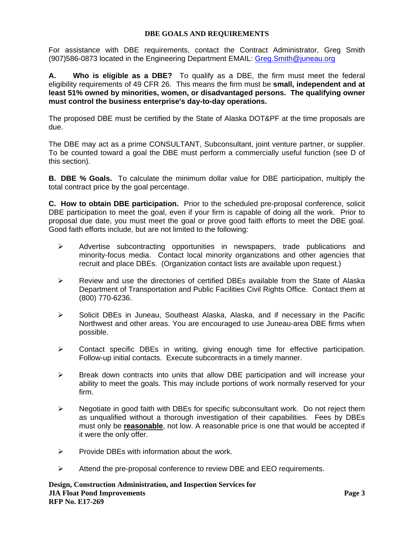For assistance with DBE requirements, contact the Contract Administrator, Greg Smith (907)586-0873 located in the Engineering Department EMAIL: Greg.Smith@juneau.org

**A. Who is eligible as a DBE?** To qualify as a DBE, the firm must meet the federal eligibility requirements of 49 CFR 26. This means the firm must be **small, independent and at least 51% owned by minorities, women, or disadvantaged persons. The qualifying owner must control the business enterprise's day-to-day operations.**

The proposed DBE must be certified by the State of Alaska DOT&PF at the time proposals are due.

The DBE may act as a prime CONSULTANT, Subconsultant, joint venture partner, or supplier. To be counted toward a goal the DBE must perform a commercially useful function (see D of this section).

**B. DBE % Goals.** To calculate the minimum dollar value for DBE participation, multiply the total contract price by the goal percentage.

**C. How to obtain DBE participation.** Prior to the scheduled pre-proposal conference, solicit DBE participation to meet the goal, even if your firm is capable of doing all the work. Prior to proposal due date, you must meet the goal or prove good faith efforts to meet the DBE goal. Good faith efforts include, but are not limited to the following:

- $\triangleright$  Advertise subcontracting opportunities in newspapers, trade publications and minority-focus media. Contact local minority organizations and other agencies that recruit and place DBEs. (Organization contact lists are available upon request.)
- $\triangleright$  Review and use the directories of certified DBEs available from the State of Alaska Department of Transportation and Public Facilities Civil Rights Office. Contact them at (800) 770-6236.
- $\triangleright$  Solicit DBEs in Juneau, Southeast Alaska, Alaska, and if necessary in the Pacific Northwest and other areas. You are encouraged to use Juneau-area DBE firms when possible.
- $\triangleright$  Contact specific DBEs in writing, giving enough time for effective participation. Follow-up initial contacts. Execute subcontracts in a timely manner.
- $\triangleright$  Break down contracts into units that allow DBE participation and will increase your ability to meet the goals. This may include portions of work normally reserved for your firm.
- $\triangleright$  Negotiate in good faith with DBEs for specific subconsultant work. Do not reject them as unqualified without a thorough investigation of their capabilities. Fees by DBEs must only be **reasonable**, not low. A reasonable price is one that would be accepted if it were the only offer.
- $\triangleright$  Provide DBEs with information about the work.
- $\triangleright$  Attend the pre-proposal conference to review DBE and EEO requirements.

**Design, Construction Administration, and Inspection Services for JIA Float Pond Improvements Page 3 RFP No. E17-269**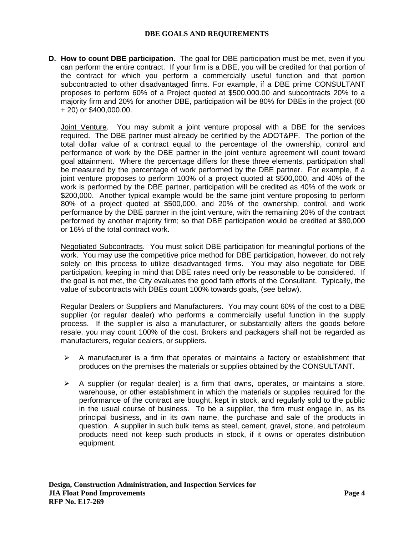**D. How to count DBE participation.** The goal for DBE participation must be met, even if you can perform the entire contract. If your firm is a DBE, you will be credited for that portion of the contract for which you perform a commercially useful function and that portion subcontracted to other disadvantaged firms. For example, if a DBE prime CONSULTANT proposes to perform 60% of a Project quoted at \$500,000.00 and subcontracts 20% to a majority firm and 20% for another DBE, participation will be 80% for DBEs in the project (60 + 20) or \$400,000.00.

Joint Venture. You may submit a joint venture proposal with a DBE for the services required. The DBE partner must already be certified by the ADOT&PF. The portion of the total dollar value of a contract equal to the percentage of the ownership, control and performance of work by the DBE partner in the joint venture agreement will count toward goal attainment. Where the percentage differs for these three elements, participation shall be measured by the percentage of work performed by the DBE partner. For example, if a joint venture proposes to perform 100% of a project quoted at \$500,000, and 40% of the work is performed by the DBE partner, participation will be credited as 40% of the work or \$200,000. Another typical example would be the same joint venture proposing to perform 80% of a project quoted at \$500,000, and 20% of the ownership, control, and work performance by the DBE partner in the joint venture, with the remaining 20% of the contract performed by another majority firm; so that DBE participation would be credited at \$80,000 or 16% of the total contract work.

Negotiated Subcontracts. You must solicit DBE participation for meaningful portions of the work. You may use the competitive price method for DBE participation, however, do not rely solely on this process to utilize disadvantaged firms. You may also negotiate for DBE participation, keeping in mind that DBE rates need only be reasonable to be considered. If the goal is not met, the City evaluates the good faith efforts of the Consultant. Typically, the value of subcontracts with DBEs count 100% towards goals, (see below).

Regular Dealers or Suppliers and Manufacturers. You may count 60% of the cost to a DBE supplier (or regular dealer) who performs a commercially useful function in the supply process. If the supplier is also a manufacturer, or substantially alters the goods before resale, you may count 100% of the cost. Brokers and packagers shall not be regarded as manufacturers, regular dealers, or suppliers.

- $\triangleright$  A manufacturer is a firm that operates or maintains a factory or establishment that produces on the premises the materials or supplies obtained by the CONSULTANT.
- $\triangleright$  A supplier (or regular dealer) is a firm that owns, operates, or maintains a store, warehouse, or other establishment in which the materials or supplies required for the performance of the contract are bought, kept in stock, and regularly sold to the public in the usual course of business. To be a supplier, the firm must engage in, as its principal business, and in its own name, the purchase and sale of the products in question. A supplier in such bulk items as steel, cement, gravel, stone, and petroleum products need not keep such products in stock, if it owns or operates distribution equipment.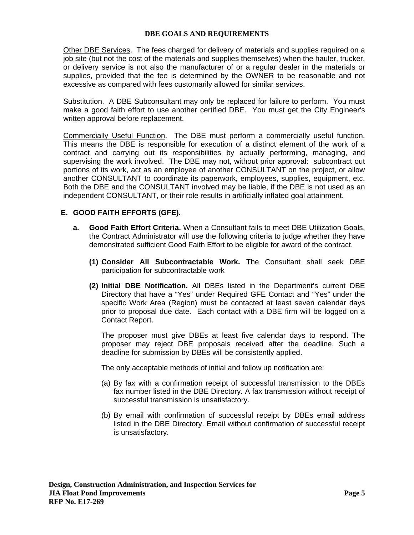Other DBE Services. The fees charged for delivery of materials and supplies required on a job site (but not the cost of the materials and supplies themselves) when the hauler, trucker, or delivery service is not also the manufacturer of or a regular dealer in the materials or supplies, provided that the fee is determined by the OWNER to be reasonable and not excessive as compared with fees customarily allowed for similar services.

Substitution. A DBE Subconsultant may only be replaced for failure to perform. You must make a good faith effort to use another certified DBE. You must get the City Engineer's written approval before replacement.

Commercially Useful Function. The DBE must perform a commercially useful function. This means the DBE is responsible for execution of a distinct element of the work of a contract and carrying out its responsibilities by actually performing, managing, and supervising the work involved. The DBE may not, without prior approval: subcontract out portions of its work, act as an employee of another CONSULTANT on the project, or allow another CONSULTANT to coordinate its paperwork, employees, supplies, equipment, etc. Both the DBE and the CONSULTANT involved may be liable, if the DBE is not used as an independent CONSULTANT, or their role results in artificially inflated goal attainment.

#### **E. GOOD FAITH EFFORTS (GFE).**

- **a. Good Faith Effort Criteria.** When a Consultant fails to meet DBE Utilization Goals, the Contract Administrator will use the following criteria to judge whether they have demonstrated sufficient Good Faith Effort to be eligible for award of the contract.
	- **(1) Consider All Subcontractable Work.** The Consultant shall seek DBE participation for subcontractable work
	- **(2) Initial DBE Notification.** All DBEs listed in the Department's current DBE Directory that have a "Yes" under Required GFE Contact and "Yes" under the specific Work Area (Region) must be contacted at least seven calendar days prior to proposal due date. Each contact with a DBE firm will be logged on a Contact Report.

The proposer must give DBEs at least five calendar days to respond. The proposer may reject DBE proposals received after the deadline. Such a deadline for submission by DBEs will be consistently applied.

The only acceptable methods of initial and follow up notification are:

- (a) By fax with a confirmation receipt of successful transmission to the DBEs fax number listed in the DBE Directory. A fax transmission without receipt of successful transmission is unsatisfactory.
- (b) By email with confirmation of successful receipt by DBEs email address listed in the DBE Directory. Email without confirmation of successful receipt is unsatisfactory.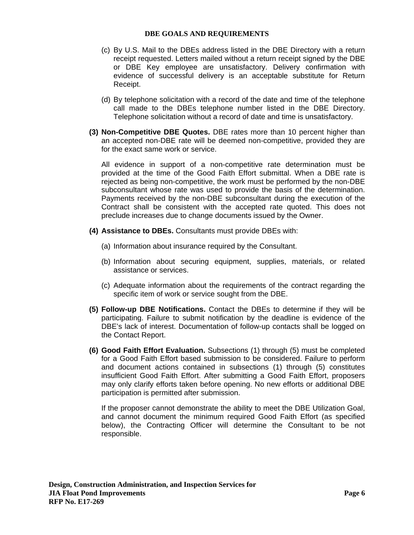- (c) By U.S. Mail to the DBEs address listed in the DBE Directory with a return receipt requested. Letters mailed without a return receipt signed by the DBE or DBE Key employee are unsatisfactory. Delivery confirmation with evidence of successful delivery is an acceptable substitute for Return Receipt.
- (d) By telephone solicitation with a record of the date and time of the telephone call made to the DBEs telephone number listed in the DBE Directory. Telephone solicitation without a record of date and time is unsatisfactory.
- **(3) Non-Competitive DBE Quotes.** DBE rates more than 10 percent higher than an accepted non-DBE rate will be deemed non-competitive, provided they are for the exact same work or service.

All evidence in support of a non-competitive rate determination must be provided at the time of the Good Faith Effort submittal. When a DBE rate is rejected as being non-competitive, the work must be performed by the non-DBE subconsultant whose rate was used to provide the basis of the determination. Payments received by the non-DBE subconsultant during the execution of the Contract shall be consistent with the accepted rate quoted. This does not preclude increases due to change documents issued by the Owner.

- **(4) Assistance to DBEs.** Consultants must provide DBEs with:
	- (a) Information about insurance required by the Consultant.
	- (b) Information about securing equipment, supplies, materials, or related assistance or services.
	- (c) Adequate information about the requirements of the contract regarding the specific item of work or service sought from the DBE.
- **(5) Follow-up DBE Notifications.** Contact the DBEs to determine if they will be participating. Failure to submit notification by the deadline is evidence of the DBE's lack of interest. Documentation of follow-up contacts shall be logged on the Contact Report.
- **(6) Good Faith Effort Evaluation.** Subsections (1) through (5) must be completed for a Good Faith Effort based submission to be considered. Failure to perform and document actions contained in subsections (1) through (5) constitutes insufficient Good Faith Effort. After submitting a Good Faith Effort, proposers may only clarify efforts taken before opening. No new efforts or additional DBE participation is permitted after submission.

If the proposer cannot demonstrate the ability to meet the DBE Utilization Goal, and cannot document the minimum required Good Faith Effort (as specified below), the Contracting Officer will determine the Consultant to be not responsible.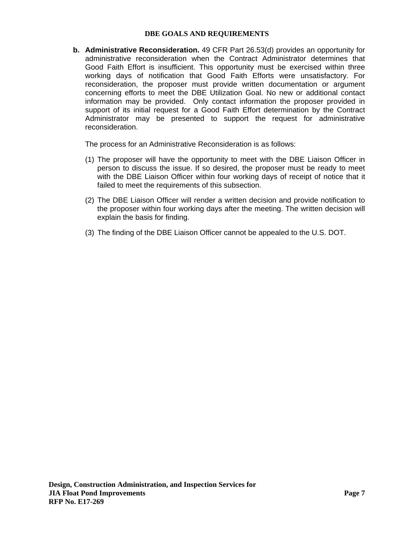**b. Administrative Reconsideration.** 49 CFR Part 26.53(d) provides an opportunity for administrative reconsideration when the Contract Administrator determines that Good Faith Effort is insufficient. This opportunity must be exercised within three working days of notification that Good Faith Efforts were unsatisfactory. For reconsideration, the proposer must provide written documentation or argument concerning efforts to meet the DBE Utilization Goal. No new or additional contact information may be provided. Only contact information the proposer provided in support of its initial request for a Good Faith Effort determination by the Contract Administrator may be presented to support the request for administrative reconsideration.

The process for an Administrative Reconsideration is as follows:

- (1) The proposer will have the opportunity to meet with the DBE Liaison Officer in person to discuss the issue. If so desired, the proposer must be ready to meet with the DBE Liaison Officer within four working days of receipt of notice that it failed to meet the requirements of this subsection.
- (2) The DBE Liaison Officer will render a written decision and provide notification to the proposer within four working days after the meeting. The written decision will explain the basis for finding.
- (3) The finding of the DBE Liaison Officer cannot be appealed to the U.S. DOT.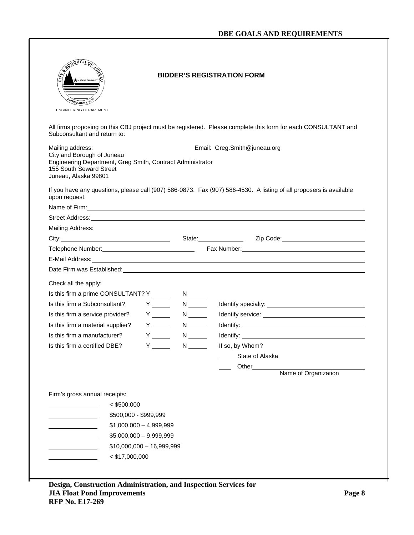| <u>onen 9</u><br>ALASKA'S CAPITAL CITY<br>ED JULY '<br><b>ENGINEERING DEPARTMENT</b>                                                                            |                                    | <b>BIDDER'S REGISTRATION FORM</b>                                                                                                                                                                                                    |
|-----------------------------------------------------------------------------------------------------------------------------------------------------------------|------------------------------------|--------------------------------------------------------------------------------------------------------------------------------------------------------------------------------------------------------------------------------------|
| Subconsultant and return to:                                                                                                                                    |                                    | All firms proposing on this CBJ project must be registered. Please complete this form for each CONSULTANT and                                                                                                                        |
| Mailing address:<br>City and Borough of Juneau<br>Engineering Department, Greg Smith, Contract Administrator<br>155 South Seward Street<br>Juneau, Alaska 99801 |                                    | Email: Greg.Smith@juneau.org                                                                                                                                                                                                         |
| upon request.                                                                                                                                                   |                                    | If you have any questions, please call (907) 586-0873. Fax (907) 586-4530. A listing of all proposers is available                                                                                                                   |
|                                                                                                                                                                 |                                    | Name of Firm: <u>example and the contract of the contract of the contract of the contract of the contract of the contract of the contract of the contract of the contract of the contract of the contract of the contract of the</u> |
|                                                                                                                                                                 |                                    | Street Address: <u>example and a street and a street and a street and a street and a street and a street and a street and a street and a street and a street and a street and a street and a street and a street and a street an</u> |
|                                                                                                                                                                 |                                    |                                                                                                                                                                                                                                      |
|                                                                                                                                                                 |                                    | City: City: City: City: City: City: City: City: City: Content of the City: City: Content of the City: City: Content of the City: City: Content of the City: City: City: City: City: City: City: City: City: City: City: City:        |
|                                                                                                                                                                 |                                    |                                                                                                                                                                                                                                      |
|                                                                                                                                                                 |                                    | E-Mail Address: <u>Andrea Communication and the communication</u> and the communication of the communication of the communication of the communication of the communication of the communication of the communication of the commun  |
|                                                                                                                                                                 |                                    | Date Firm was Established: Notified: Note of the Contract of the Contract of the Contract of the Contract of the Contract of the Contract of the Contract of the Contract of the Contract of the Contract of the Contract of t       |
| Check all the apply:                                                                                                                                            |                                    |                                                                                                                                                                                                                                      |
|                                                                                                                                                                 |                                    |                                                                                                                                                                                                                                      |
| Is this firm a Subconsultant?                                                                                                                                   | $Y \_$<br>$N \qquad \qquad$        |                                                                                                                                                                                                                                      |
| Is this firm a service provider?                                                                                                                                | $Y \_$<br>$N \sim$                 |                                                                                                                                                                                                                                      |
| $Y \quad \qquad$<br>Is this firm a material supplier?                                                                                                           | $N \underline{\qquad}$             |                                                                                                                                                                                                                                      |
| Is this firm a manufacturer?                                                                                                                                    | $Y \sim$<br>$N \underline{\qquad}$ |                                                                                                                                                                                                                                      |
| $Y \_$<br>Is this firm a certified DBE?                                                                                                                         | $N \underline{\hspace{2cm}}$       | If so, by Whom?                                                                                                                                                                                                                      |
|                                                                                                                                                                 |                                    | State of Alaska                                                                                                                                                                                                                      |
|                                                                                                                                                                 |                                    | Other_                                                                                                                                                                                                                               |
|                                                                                                                                                                 |                                    | Name of Organization                                                                                                                                                                                                                 |
| Firm's gross annual receipts:<br>$<$ \$500,000<br>\$500,000 - \$999,999<br>$$1,000,000 - 4,999,999$<br>$$5,000,000 - 9,999,999$                                 |                                    |                                                                                                                                                                                                                                      |
| $$10,000,000 - 16,999,999$                                                                                                                                      |                                    |                                                                                                                                                                                                                                      |

٦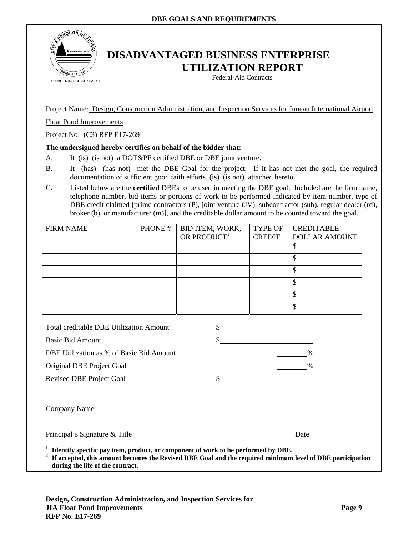

## **DISADVANTAGED BUSINESS ENTERPRISE UTILIZATION REPORT**

Federal-Aid Contracts

Project Name: Design, Construction Administration, and Inspection Services for Juneau International Airport

Float Pond Improvements

Project No: (C3) RFP E17-269

#### **The undersigned hereby certifies on behalf of the bidder that:**

- A. It (is) (is not) a DOT&PF certified DBE or DBE joint venture.
- B. It (has) (has not) met the DBE Goal for the project. If it has not met the goal, the required documentation of sufficient good faith efforts (is) (is not) attached hereto.
- C. Listed below are the **certified** DBEs to be used in meeting the DBE goal. Included are the firm name, telephone number, bid items or portions of work to be performed indicated by item number, type of DBE credit claimed [prime contractors (P), joint venture (JV), subcontractor (sub), regular dealer (rd), broker (b), or manufacturer (m)], and the creditable dollar amount to be counted toward the goal.

| <b>FIRM NAME</b>                                                                                                                                                                                                                                             | PHONE# | BID ITEM, WORK,         | <b>TYPE OF</b> | <b>CREDITABLE</b>    |  |  |
|--------------------------------------------------------------------------------------------------------------------------------------------------------------------------------------------------------------------------------------------------------------|--------|-------------------------|----------------|----------------------|--|--|
|                                                                                                                                                                                                                                                              |        | OR PRODUCT <sup>1</sup> | <b>CREDIT</b>  | <b>DOLLAR AMOUNT</b> |  |  |
|                                                                                                                                                                                                                                                              |        |                         |                | \$                   |  |  |
|                                                                                                                                                                                                                                                              |        |                         |                | $\mathbf{\hat{S}}$   |  |  |
|                                                                                                                                                                                                                                                              |        |                         |                | $\mathbf{\hat{S}}$   |  |  |
|                                                                                                                                                                                                                                                              |        |                         |                | \$                   |  |  |
|                                                                                                                                                                                                                                                              |        |                         |                | \$                   |  |  |
|                                                                                                                                                                                                                                                              |        |                         |                | \$                   |  |  |
|                                                                                                                                                                                                                                                              |        |                         |                |                      |  |  |
| Total creditable DBE Utilization Amount <sup>2</sup>                                                                                                                                                                                                         |        |                         | $\frac{1}{2}$  |                      |  |  |
| <b>Basic Bid Amount</b>                                                                                                                                                                                                                                      |        |                         |                |                      |  |  |
| DBE Utilization as % of Basic Bid Amount                                                                                                                                                                                                                     |        |                         |                | $\frac{0}{0}$        |  |  |
| Original DBE Project Goal                                                                                                                                                                                                                                    |        |                         |                | $\%$                 |  |  |
| <b>Revised DBE Project Goal</b>                                                                                                                                                                                                                              |        | \$                      |                |                      |  |  |
|                                                                                                                                                                                                                                                              |        |                         |                |                      |  |  |
| Company Name                                                                                                                                                                                                                                                 |        |                         |                |                      |  |  |
| Principal's Signature & Title<br>Date                                                                                                                                                                                                                        |        |                         |                |                      |  |  |
| <sup>1</sup> Identify specific pay item, product, or component of work to be performed by DBE.<br><sup>2</sup> If accepted, this amount becomes the Revised DBE Goal and the required minimum level of DBE participation<br>during the life of the contract. |        |                         |                |                      |  |  |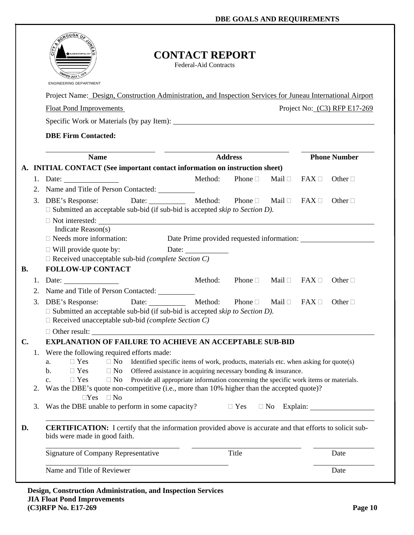|                |    | <b>CONTACT REPORT</b><br><b>ALASKA'S CAPITAL CITY</b><br><b>Federal-Aid Contracts</b><br><b>ENGINEERING DEPARTMENT</b>                                               |               |                              |
|----------------|----|----------------------------------------------------------------------------------------------------------------------------------------------------------------------|---------------|------------------------------|
|                |    | Project Name: Design, Construction Administration, and Inspection Services for Juneau International Airport                                                          |               |                              |
|                |    | <b>Float Pond Improvements</b>                                                                                                                                       |               | Project No: (C3) RFP E17-269 |
|                |    |                                                                                                                                                                      |               |                              |
|                |    | <b>DBE Firm Contacted:</b>                                                                                                                                           |               |                              |
|                |    | <b>Address</b><br><b>Name</b>                                                                                                                                        |               | <b>Phone Number</b>          |
|                |    | A. INITIAL CONTACT (See important contact information on instruction sheet)                                                                                          |               |                              |
|                | 1. | Method:<br>Phone $\Box$<br>Mail $\Box$<br>Date: $\frac{1}{\sqrt{1-\frac{1}{2}} \cdot \frac{1}{2}}$                                                                   | $FAX \square$ | Other $\Box$                 |
|                |    | 2. Name and Title of Person Contacted: __________                                                                                                                    |               |                              |
|                | 3. | Date: Method:<br>Phone $\Box$<br>DBE's Response:<br>Mail $\Box$ FAX $\Box$                                                                                           |               | Other $\Box$                 |
|                |    | $\Box$ Submitted an acceptable sub-bid (if sub-bid is accepted <i>skip to Section D)</i> .                                                                           |               |                              |
|                |    | $\Box$ Not interested: $\Box$<br>Indicate Reason(s)                                                                                                                  |               |                              |
|                |    | $\Box$ Needs more information:                                                                                                                                       |               |                              |
|                |    | $\Box$ Will provide quote by:                                                                                                                                        |               |                              |
|                |    | $\Box$ Received unacceptable sub-bid (complete Section C)                                                                                                            |               |                              |
| <b>B.</b>      |    | <b>FOLLOW-UP CONTACT</b>                                                                                                                                             |               |                              |
|                |    | Phone $\square$<br>1. Date:<br>Method:<br>Mail □                                                                                                                     | $FAX \Box$    | Other $\Box$                 |
|                | 2. | Name and Title of Person Contacted: __________                                                                                                                       |               |                              |
|                | 3. | Date: Method:<br><b>DBE's Response:</b><br>Phone $\Box$<br>Mail $\Box$<br>$\Box$ Submitted an acceptable sub-bid (if sub-bid is accepted <i>skip to Section D</i> ). | $FAX \square$ | Other $\Box$                 |
|                |    | $\Box$ Received unacceptable sub-bid (complete Section C)                                                                                                            |               |                              |
|                |    | $\Box$ Other result:                                                                                                                                                 |               |                              |
| $\mathbf{C}$ . |    | <b>EXPLANATION OF FAILURE TO ACHIEVE AN ACCEPTABLE SUB-BID</b>                                                                                                       |               |                              |
|                | 1. | Were the following required efforts made:<br>$\Box$ Yes<br>$\Box$ No<br>Identified specific items of work, products, materials etc. when asking for quote(s)<br>a.   |               |                              |
|                |    | Offered assistance in acquiring necessary bonding & insurance.<br>$\Box$ Yes<br>$\Box$ No<br>b.                                                                      |               |                              |
|                |    | Provide all appropriate information concerning the specific work items or materials.<br>$\Box$ Yes<br>$\Box$ No<br>$\mathbf{c}$ .                                    |               |                              |
|                | 2. | Was the DBE's quote non-competitive (i.e., more than 10% higher than the accepted quote)?                                                                            |               |                              |
|                | 3. | $\Box Yes \quad \Box No$<br>Was the DBE unable to perform in some capacity?<br>$\Box$ Yes                                                                            |               | $\Box$ No Explain:           |
| D.             |    | <b>CERTIFICATION:</b> I certify that the information provided above is accurate and that efforts to solicit sub-<br>bids were made in good faith.                    |               |                              |
|                |    | Signature of Company Representative<br>Title                                                                                                                         |               | Date                         |
|                |    | Name and Title of Reviewer                                                                                                                                           |               | Date                         |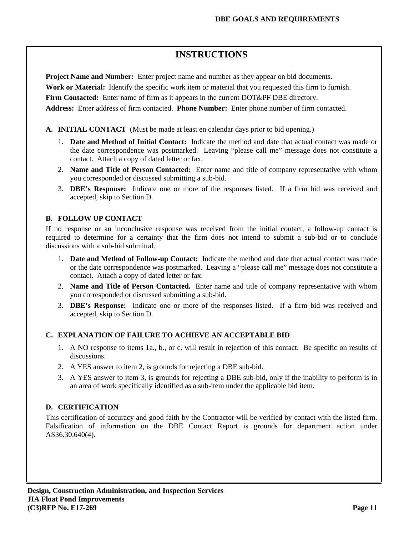## **INSTRUCTIONS**

**Project Name and Number:** Enter project name and number as they appear on bid documents.

**Work or Material:** Identify the specific work item or material that you requested this firm to furnish.

**Firm Contacted:** Enter name of firm as it appears in the current DOT&PF DBE directory.

**Address:** Enter address of firm contacted. **Phone Number:** Enter phone number of firm contacted.

- **A. INITIAL CONTACT** (Must be made at least en calendar days prior to bid opening.)
	- 1. **Date and Method of Initial Contact:** Indicate the method and date that actual contact was made or the date correspondence was postmarked. Leaving "please call me" message does not constitute a contact. Attach a copy of dated letter or fax.
	- 2. **Name and Title of Person Contacted:** Enter name and title of company representative with whom you corresponded or discussed submitting a sub-bid.
	- 3. **DBE's Response:** Indicate one or more of the responses listed. If a firm bid was received and accepted, skip to Section D.

## **B. FOLLOW UP CONTACT**

If no response or an inconclusive response was received from the initial contact, a follow-up contact is required to determine for a certainty that the firm does not intend to submit a sub-bid or to conclude discussions with a sub-bid submittal.

- 1. **Date and Method of Follow-up Contact:** Indicate the method and date that actual contact was made or the date correspondence was postmarked. Leaving a "please call me" message does not constitute a contact. Attach a copy of dated letter or fax.
- 2. **Name and Title of Person Contacted.** Enter name and title of company representative with whom you corresponded or discussed submitting a sub-bid.
- 3. **DBE's Response:** Indicate one or more of the responses listed. If a firm bid was received and accepted, skip to Section D.

## **C. EXPLANATION OF FAILURE TO ACHIEVE AN ACCEPTABLE BID**

- 1. A NO response to items 1a., b., or c. will result in rejection of this contact. Be specific on results of discussions.
- 2. A YES answer to item 2, is grounds for rejecting a DBE sub-bid.
- 3. A YES answer to item 3, is grounds for rejecting a DBE sub-bid, only if the inability to perform is in an area of work specifically identified as a sub-item under the applicable bid item.

## **D. CERTIFICATION**

This certification of accuracy and good faith by the Contractor will be verified by contact with the listed firm. Falsification of information on the DBE Contact Report is grounds for department action under AS36.30.640(4).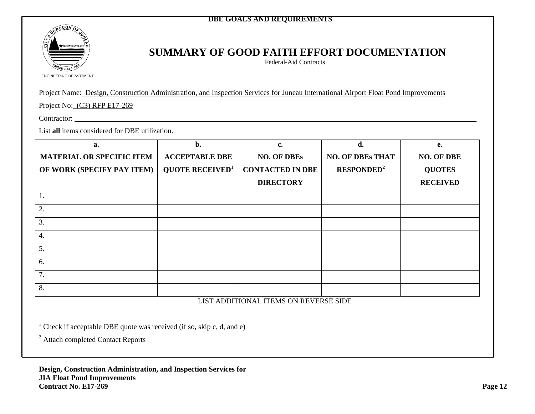

## **SUMMARY OF GOOD FAITH EFFORT DOCUMENTATION**

Federal-Aid Contracts

ENGINEERING DEPARTMENT

Project Name: Design, Construction Administration, and Inspection Services for Juneau International Airport Float Pond Improvements

Project No: (C3) RFP E17-269

Contractor:

List **all** items considered for DBE utilization.

| a.                               | $\mathbf{b}$ .                     | c.                      | d.                      | e.                |
|----------------------------------|------------------------------------|-------------------------|-------------------------|-------------------|
| <b>MATERIAL OR SPECIFIC ITEM</b> | <b>ACCEPTABLE DBE</b>              | <b>NO. OF DBEs</b>      | <b>NO. OF DBEs THAT</b> | <b>NO. OF DBE</b> |
| OF WORK (SPECIFY PAY ITEM)       | <b>QUOTE RECEIVED</b> <sup>1</sup> | <b>CONTACTED IN DBE</b> | RESPONDED <sup>2</sup>  | <b>QUOTES</b>     |
|                                  |                                    | <b>DIRECTORY</b>        |                         | <b>RECEIVED</b>   |
| 1.                               |                                    |                         |                         |                   |
| 2.                               |                                    |                         |                         |                   |
| 3.                               |                                    |                         |                         |                   |
| 4.                               |                                    |                         |                         |                   |
| 5.                               |                                    |                         |                         |                   |
| 6.                               |                                    |                         |                         |                   |
| 7.                               |                                    |                         |                         |                   |
| 8.                               |                                    |                         |                         |                   |

LIST ADDITIONAL ITEMS ON REVERSE SIDE

<sup>1</sup> Check if acceptable DBE quote was received (if so, skip c, d, and e)

2 Attach completed Contact Reports

**Design, Construction Administration, and Inspection Services for JIA Float Pond Improvements Contract No. E17-269 Page 12**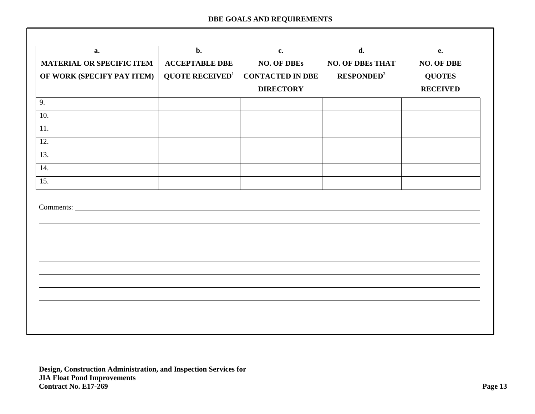| 9.                | <b>NO. OF DBEs THAT</b><br><b>NO. OF DBE</b><br><b>RESPONDED<sup>2</sup></b><br><b>QUOTES</b><br><b>RECEIVED</b> |
|-------------------|------------------------------------------------------------------------------------------------------------------|
| 10.<br>11.<br>12. |                                                                                                                  |
|                   |                                                                                                                  |
|                   |                                                                                                                  |
| 13.               |                                                                                                                  |
| 14.<br>15.        |                                                                                                                  |
|                   |                                                                                                                  |
|                   |                                                                                                                  |
|                   |                                                                                                                  |
|                   |                                                                                                                  |
|                   |                                                                                                                  |